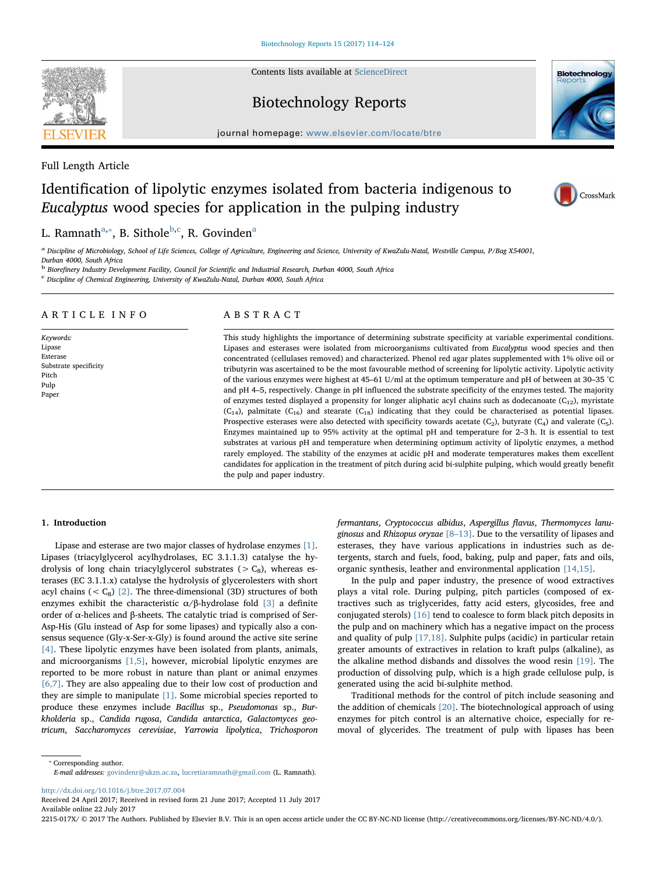Contents lists available at [ScienceDirect](http://www.sciencedirect.com/science/journal/2215017X)

## Biotechnology Reports

journal homepage: [www.elsevier.com/locate/btre](http://www.elsevier.com/locate/btre)

Full Length Article

# Identification of lipolytic enzymes isolated from bacteria indigenous to Eucalyptus wood species for application in the pulping industry

## L. Ramnath<sup>[a,](#page-0-0)</sup>\*, B. Sithole<sup>[b](#page-0-2)[,c](#page-0-3)</sup>, R. Govinden<sup>[a](#page-0-0)</sup>

<span id="page-0-0"></span>a Discipline of Microbiology, School of Life Sciences, College of Agriculture, Engineering and Science, University of KwaZulu-Natal, Westville Campus, P/Bag X54001, Durban 4000, South Africa

<span id="page-0-2"></span><sup>b</sup> Biorefinery Industry Development Facility, Council for Scientific and Industrial Research, Durban 4000, South Africa<br><sup>c</sup> Discipline of Chemical Engineering, University of KwaZulu-Natal, Durban 4000, South Africa

<span id="page-0-3"></span>

## ARTICLE INFO

Keywords: Lipase Esterase Substrate specificity Pitch Pulp Paper

## ABSTRACT

This study highlights the importance of determining substrate specificity at variable experimental conditions. Lipases and esterases were isolated from microorganisms cultivated from Eucalyptus wood species and then concentrated (cellulases removed) and characterized. Phenol red agar plates supplemented with 1% olive oil or tributyrin was ascertained to be the most favourable method of screening for lipolytic activity. Lipolytic activity of the various enzymes were highest at 45–61 U/ml at the optimum temperature and pH of between at 30–35 °C and pH 4–5, respectively. Change in pH influenced the substrate specificity of the enzymes tested. The majority of enzymes tested displayed a propensity for longer aliphatic acyl chains such as dodecanoate ( $C_{12}$ ), myristate  $(C_{14})$ , palmitate  $(C_{16})$  and stearate  $(C_{18})$  indicating that they could be characterised as potential lipases. Prospective esterases were also detected with specificity towards acetate  $(C_2)$ , butyrate  $(C_4)$  and valerate  $(C_5)$ . Enzymes maintained up to 95% activity at the optimal pH and temperature for 2–3 h. It is essential to test substrates at various pH and temperature when determining optimum activity of lipolytic enzymes, a method rarely employed. The stability of the enzymes at acidic pH and moderate temperatures makes them excellent candidates for application in the treatment of pitch during acid bi-sulphite pulping, which would greatly benefit the pulp and paper industry.

## 1. Introduction

Lipase and esterase are two major classes of hydrolase enzymes [\[1\]](#page-8-0). Lipases (triacylglycerol acylhydrolases, EC 3.1.1.3) catalyse the hydrolysis of long chain triacylglycerol substrates ( $>C_8$ ), whereas esterases (EC 3.1.1.x) catalyse the hydrolysis of glycerolesters with short acyl chains ( $\langle C_8 \rangle$  [\[2\]](#page-8-1). The three-dimensional (3D) structures of both enzymes exhibit the characteristic  $\alpha/\beta$ -hydrolase fold [\[3\]](#page-8-2) a definite order of α-helices and β-sheets. The catalytic triad is comprised of Ser-Asp-His (Glu instead of Asp for some lipases) and typically also a consensus sequence (Gly-x-Ser-x-Gly) is found around the active site serine [\[4\].](#page-8-3) These lipolytic enzymes have been isolated from plants, animals, and microorganisms [\[1,5\],](#page-8-0) however, microbial lipolytic enzymes are reported to be more robust in nature than plant or animal enzymes [\[6,7\].](#page-8-4) They are also appealing due to their low cost of production and they are simple to manipulate [\[1\].](#page-8-0) Some microbial species reported to produce these enzymes include Bacillus sp., Pseudomonas sp., Burkholderia sp., Candida rugosa, Candida antarctica, Galactomyces geotricum, Saccharomyces cerevisiae, Yarrowia lipolytica, Trichosporon fermantans, Cryptococcus albidus, Aspergillus flavus, Thermomyces lanuginosus and Rhizopus oryzae  $[8-13]$ . Due to the versatility of lipases and esterases, they have various applications in industries such as detergents, starch and fuels, food, baking, pulp and paper, fats and oils, organic synthesis, leather and environmental application [\[14,15\]](#page-8-6).

In the pulp and paper industry, the presence of wood extractives plays a vital role. During pulping, pitch particles (composed of extractives such as triglycerides, fatty acid esters, glycosides, free and conjugated sterols) [\[16\]](#page-8-7) tend to coalesce to form black pitch deposits in the pulp and on machinery which has a negative impact on the process and quality of pulp [\[17,18\].](#page-8-8) Sulphite pulps (acidic) in particular retain greater amounts of extractives in relation to kraft pulps (alkaline), as the alkaline method disbands and dissolves the wood resin [\[19\]](#page-8-9). The production of dissolving pulp, which is a high grade cellulose pulp, is generated using the acid bi-sulphite method.

Traditional methods for the control of pitch include seasoning and the addition of chemicals [\[20\].](#page-8-10) The biotechnological approach of using enzymes for pitch control is an alternative choice, especially for removal of glycerides. The treatment of pulp with lipases has been

<http://dx.doi.org/10.1016/j.btre.2017.07.004>

<span id="page-0-1"></span>⁎ Corresponding author.

Received 24 April 2017; Received in revised form 21 June 2017; Accepted 11 July 2017 Available online 22 July 2017

E-mail addresses: [govindenr@ukzn.ac.za](mailto:govindenr@ukzn.ac.za), [lucretiaramnath@gmail.com](mailto:lucretiaramnath@gmail.com) (L. Ramnath).

2215-017X/ © 2017 The Authors. Published by Elsevier B.V. This is an open access article under the CC BY-NC-ND license (http://creativecommons.org/licenses/BY-NC-ND/4.0/).





CrossMark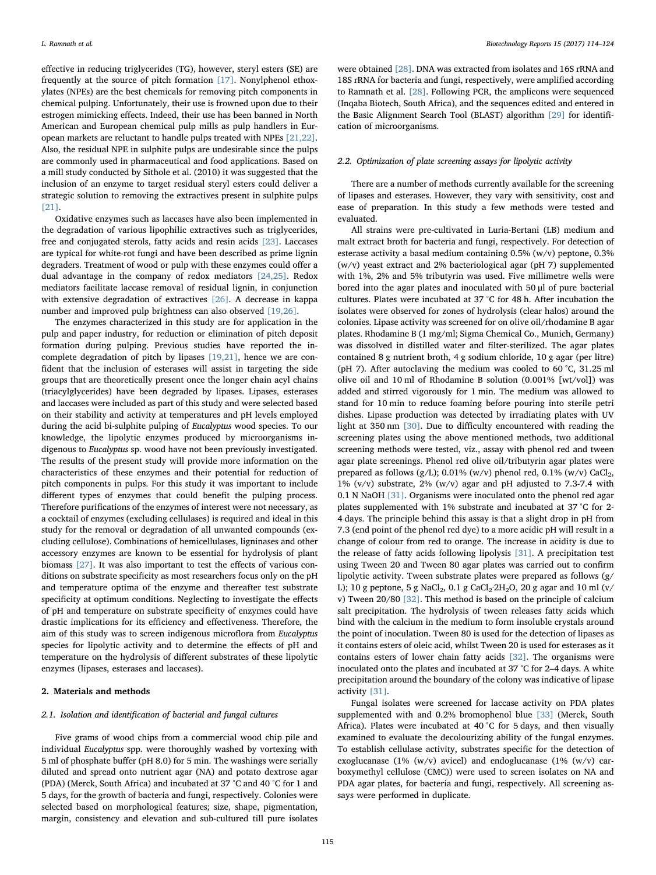effective in reducing triglycerides (TG), however, steryl esters (SE) are frequently at the source of pitch formation [\[17\]](#page-8-8). Nonylphenol ethoxylates (NPEs) are the best chemicals for removing pitch components in chemical pulping. Unfortunately, their use is frowned upon due to their estrogen mimicking effects. Indeed, their use has been banned in North American and European chemical pulp mills as pulp handlers in European markets are reluctant to handle pulps treated with NPEs [\[21,22\]](#page-8-11). Also, the residual NPE in sulphite pulps are undesirable since the pulps are commonly used in pharmaceutical and food applications. Based on a mill study conducted by Sithole et al. (2010) it was suggested that the inclusion of an enzyme to target residual steryl esters could deliver a strategic solution to removing the extractives present in sulphite pulps [\[21\]](#page-8-11).

Oxidative enzymes such as laccases have also been implemented in the degradation of various lipophilic extractives such as triglycerides, free and conjugated sterols, fatty acids and resin acids [\[23\]](#page-8-12). Laccases are typical for white-rot fungi and have been described as prime lignin degraders. Treatment of wood or pulp with these enzymes could offer a dual advantage in the company of redox mediators [\[24,25\]](#page-8-13). Redox mediators facilitate laccase removal of residual lignin, in conjunction with extensive degradation of extractives [\[26\].](#page-9-0) A decrease in kappa number and improved pulp brightness can also observed [\[19,26\].](#page-8-9)

The enzymes characterized in this study are for application in the pulp and paper industry, for reduction or elimination of pitch deposit formation during pulping. Previous studies have reported the incomplete degradation of pitch by lipases [\[19,21\]](#page-8-9), hence we are confident that the inclusion of esterases will assist in targeting the side groups that are theoretically present once the longer chain acyl chains (triacylglycerides) have been degraded by lipases. Lipases, esterases and laccases were included as part of this study and were selected based on their stability and activity at temperatures and pH levels employed during the acid bi-sulphite pulping of Eucalyptus wood species. To our knowledge, the lipolytic enzymes produced by microorganisms indigenous to Eucalyptus sp. wood have not been previously investigated. The results of the present study will provide more information on the characteristics of these enzymes and their potential for reduction of pitch components in pulps. For this study it was important to include different types of enzymes that could benefit the pulping process. Therefore purifications of the enzymes of interest were not necessary, as a cocktail of enzymes (excluding cellulases) is required and ideal in this study for the removal or degradation of all unwanted compounds (excluding cellulose). Combinations of hemicellulases, ligninases and other accessory enzymes are known to be essential for hydrolysis of plant biomass [\[27\].](#page-9-1) It was also important to test the effects of various conditions on substrate specificity as most researchers focus only on the pH and temperature optima of the enzyme and thereafter test substrate specificity at optimum conditions. Neglecting to investigate the effects of pH and temperature on substrate specificity of enzymes could have drastic implications for its efficiency and effectiveness. Therefore, the aim of this study was to screen indigenous microflora from Eucalyptus species for lipolytic activity and to determine the effects of pH and temperature on the hydrolysis of different substrates of these lipolytic enzymes (lipases, esterases and laccases).

## 2. Materials and methods

## 2.1. Isolation and identification of bacterial and fungal cultures

Five grams of wood chips from a commercial wood chip pile and individual Eucalyptus spp. were thoroughly washed by vortexing with 5 ml of phosphate buffer (pH 8.0) for 5 min. The washings were serially diluted and spread onto nutrient agar (NA) and potato dextrose agar (PDA) (Merck, South Africa) and incubated at 37 °C and 40 °C for 1 and 5 days, for the growth of bacteria and fungi, respectively. Colonies were selected based on morphological features; size, shape, pigmentation, margin, consistency and elevation and sub-cultured till pure isolates

were obtained [\[28\]](#page-9-2). DNA was extracted from isolates and 16S rRNA and 18S rRNA for bacteria and fungi, respectively, were amplified according to Ramnath et al. [\[28\].](#page-9-2) Following PCR, the amplicons were sequenced (Inqaba Biotech, South Africa), and the sequences edited and entered in the Basic Alignment Search Tool (BLAST) algorithm [\[29\]](#page-9-3) for identification of microorganisms.

## 2.2. Optimization of plate screening assays for lipolytic activity

There are a number of methods currently available for the screening of lipases and esterases. However, they vary with sensitivity, cost and ease of preparation. In this study a few methods were tested and evaluated.

All strains were pre-cultivated in Luria-Bertani (LB) medium and malt extract broth for bacteria and fungi, respectively. For detection of esterase activity a basal medium containing 0.5% (w/v) peptone, 0.3% (w/v) yeast extract and 2% bacteriological agar (pH 7) supplemented with 1%, 2% and 5% tributyrin was used. Five millimetre wells were bored into the agar plates and inoculated with 50 μl of pure bacterial cultures. Plates were incubated at 37 °C for 48 h. After incubation the isolates were observed for zones of hydrolysis (clear halos) around the colonies. Lipase activity was screened for on olive oil/rhodamine B agar plates. Rhodamine B (1 mg/ml; Sigma Chemical Co., Munich, Germany) was dissolved in distilled water and filter-sterilized. The agar plates contained 8 g nutrient broth, 4 g sodium chloride, 10 g agar (per litre) (pH 7). After autoclaving the medium was cooled to 60 °C, 31.25 ml olive oil and 10 ml of Rhodamine B solution (0.001% [wt/vol]) was added and stirred vigorously for 1 min. The medium was allowed to stand for 10 min to reduce foaming before pouring into sterile petri dishes. Lipase production was detected by irradiating plates with UV light at 350 nm [\[30\].](#page-9-4) Due to difficulty encountered with reading the screening plates using the above mentioned methods, two additional screening methods were tested, viz., assay with phenol red and tween agar plate screenings. Phenol red olive oil/tributyrin agar plates were prepared as follows (g/L); 0.01% (w/v) phenol red, 0.1% (w/v) CaCl<sub>2</sub>, 1% (v/v) substrate, 2% (w/v) agar and pH adjusted to 7.3-7.4 with 0.1 N NaOH [\[31\]](#page-9-5). Organisms were inoculated onto the phenol red agar plates supplemented with 1% substrate and incubated at 37 °C for 2- 4 days. The principle behind this assay is that a slight drop in pH from 7.3 (end point of the phenol red dye) to a more acidic pH will result in a change of colour from red to orange. The increase in acidity is due to the release of fatty acids following lipolysis [\[31\]](#page-9-5). A precipitation test using Tween 20 and Tween 80 agar plates was carried out to confirm lipolytic activity. Tween substrate plates were prepared as follows (g/ L); 10 g peptone, 5 g NaCl<sub>2</sub>, 0.1 g CaCl<sub>2</sub>·2H<sub>2</sub>O, 20 g agar and 10 ml (v/ v) Tween 20/80 [\[32\].](#page-9-6) This method is based on the principle of calcium salt precipitation. The hydrolysis of tween releases fatty acids which bind with the calcium in the medium to form insoluble crystals around the point of inoculation. Tween 80 is used for the detection of lipases as it contains esters of oleic acid, whilst Tween 20 is used for esterases as it contains esters of lower chain fatty acids [\[32\]](#page-9-6). The organisms were inoculated onto the plates and incubated at 37 °C for 2–4 days. A white precipitation around the boundary of the colony was indicative of lipase activity [\[31\]](#page-9-5).

Fungal isolates were screened for laccase activity on PDA plates supplemented with and 0.2% bromophenol blue [\[33\]](#page-9-7) (Merck, South Africa). Plates were incubated at 40 °C for 5 days, and then visually examined to evaluate the decolourizing ability of the fungal enzymes. To establish cellulase activity, substrates specific for the detection of exoglucanase (1% (w/v) avicel) and endoglucanase (1% (w/v) carboxymethyl cellulose (CMC)) were used to screen isolates on NA and PDA agar plates, for bacteria and fungi, respectively. All screening assays were performed in duplicate.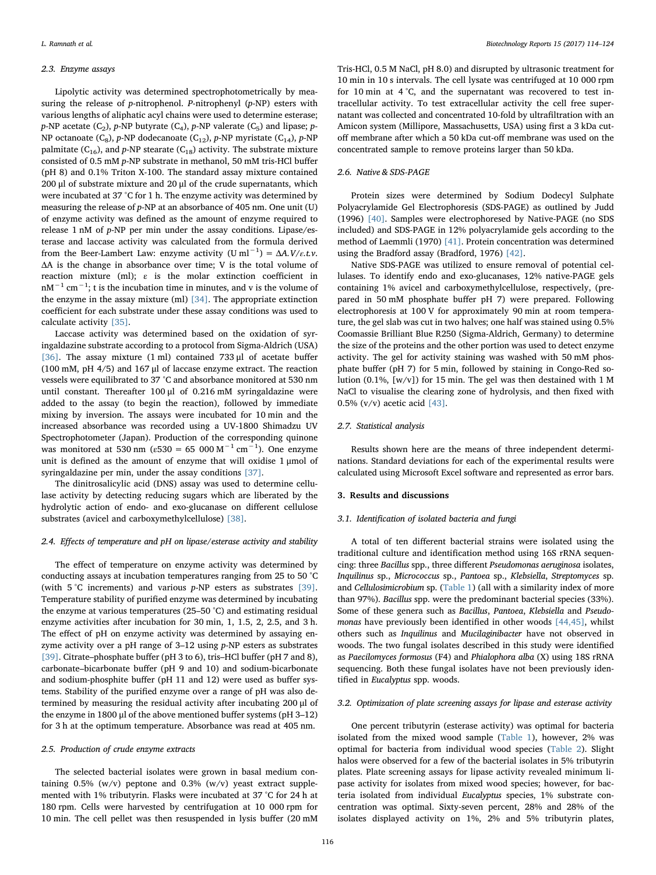## 2.3. Enzyme assays

Lipolytic activity was determined spectrophotometrically by measuring the release of p-nitrophenol. P-nitrophenyl (p-NP) esters with various lengths of aliphatic acyl chains were used to determine esterase;  $p$ -NP acetate (C<sub>2</sub>),  $p$ -NP butyrate (C<sub>4</sub>),  $p$ -NP valerate (C<sub>5</sub>) and lipase;  $p$ -NP octanoate  $(C_8)$ , p-NP dodecanoate  $(C_{12})$ , p-NP myristate  $(C_{14})$ , p-NP palmitate ( $C_{16}$ ), and p-NP stearate ( $C_{18}$ ) activity. The substrate mixture consisted of 0.5 mM p-NP substrate in methanol, 50 mM tris-HCl buffer (pH 8) and 0.1% Triton X-100. The standard assay mixture contained 200 μl of substrate mixture and 20 μl of the crude supernatants, which were incubated at 37 °C for 1 h. The enzyme activity was determined by measuring the release of p-NP at an absorbance of 405 nm. One unit (U) of enzyme activity was defined as the amount of enzyme required to release 1 nM of p-NP per min under the assay conditions. Lipase/esterase and laccase activity was calculated from the formula derived from the Beer-Lambert Law: enzyme activity  $(U \text{ ml}^{-1}) = \Delta A. V/\varepsilon.t.\nu$ . ΔA is the change in absorbance over time; V is the total volume of reaction mixture (ml); ε is the molar extinction coefficient in nM<sup>-1</sup> cm<sup>-1</sup>; t is the incubation time in minutes, and v is the volume of the enzyme in the assay mixture (ml)  $[34]$ . The appropriate extinction coefficient for each substrate under these assay conditions was used to calculate activity [\[35\].](#page-9-9)

Laccase activity was determined based on the oxidation of syringaldazine substrate according to a protocol from Sigma-Aldrich (USA) [\[36\]](#page-9-10). The assay mixture (1 ml) contained 733 μl of acetate buffer (100 mM, pH 4/5) and 167 μl of laccase enzyme extract. The reaction vessels were equilibrated to 37 °C and absorbance monitored at 530 nm until constant. Thereafter 100 μl of 0.216 mM syringaldazine were added to the assay (to begin the reaction), followed by immediate mixing by inversion. The assays were incubated for 10 min and the increased absorbance was recorded using a UV-1800 Shimadzu UV Spectrophotometer (Japan). Production of the corresponding quinone was monitored at 530 nm ( $\varepsilon$ 530 = 65 000 M<sup>-1</sup> cm<sup>-1</sup>). One enzyme unit is defined as the amount of enzyme that will oxidise 1 μmol of syringaldazine per min, under the assay conditions [\[37\].](#page-9-11)

The dinitrosalicylic acid (DNS) assay was used to determine cellulase activity by detecting reducing sugars which are liberated by the hydrolytic action of endo- and exo-glucanase on different cellulose substrates (avicel and carboxymethylcellulose) [\[38\].](#page-9-12)

#### 2.4. Effects of temperature and pH on lipase/esterase activity and stability

The effect of temperature on enzyme activity was determined by conducting assays at incubation temperatures ranging from 25 to 50 °C (with 5 °C increments) and various p-NP esters as substrates [\[39\]](#page-9-13). Temperature stability of purified enzyme was determined by incubating the enzyme at various temperatures (25–50 °C) and estimating residual enzyme activities after incubation for 30 min, 1, 1.5, 2, 2.5, and 3 h. The effect of pH on enzyme activity was determined by assaying enzyme activity over a pH range of 3–12 using p-NP esters as substrates [\[39\]](#page-9-13). Citrate–phosphate buffer (pH 3 to 6), tris–HCl buffer (pH 7 and 8), carbonate–bicarbonate buffer (pH 9 and 10) and sodium-bicarbonate and sodium-phosphite buffer (pH 11 and 12) were used as buffer systems. Stability of the purified enzyme over a range of pH was also determined by measuring the residual activity after incubating 200 μl of the enzyme in 1800 μl of the above mentioned buffer systems (pH 3–12) for 3 h at the optimum temperature. Absorbance was read at 405 nm.

## 2.5. Production of crude enzyme extracts

The selected bacterial isolates were grown in basal medium containing  $0.5\%$  (w/v) peptone and  $0.3\%$  (w/v) yeast extract supplemented with 1% tributyrin. Flasks were incubated at 37 °C for 24 h at 180 rpm. Cells were harvested by centrifugation at 10 000 rpm for 10 min. The cell pellet was then resuspended in lysis buffer (20 mM

Tris-HCl, 0.5 M NaCl, pH 8.0) and disrupted by ultrasonic treatment for 10 min in 10 s intervals. The cell lysate was centrifuged at 10 000 rpm for 10 min at 4 °C, and the supernatant was recovered to test intracellular activity. To test extracellular activity the cell free supernatant was collected and concentrated 10-fold by ultrafiltration with an Amicon system (Millipore, Massachusetts, USA) using first a 3 kDa cutoff membrane after which a 50 kDa cut-off membrane was used on the concentrated sample to remove proteins larger than 50 kDa.

## 2.6. Native & SDS-PAGE

Protein sizes were determined by Sodium Dodecyl Sulphate Polyacrylamide Gel Electrophoresis (SDS-PAGE) as outlined by Judd (1996) [\[40\].](#page-9-14) Samples were electrophoresed by Native-PAGE (no SDS included) and SDS-PAGE in 12% polyacrylamide gels according to the method of Laemmli (1970) [\[41\]](#page-9-15). Protein concentration was determined using the Bradford assay (Bradford, 1976) [\[42\]](#page-9-16).

Native SDS-PAGE was utilized to ensure removal of potential cellulases. To identify endo and exo-glucanases, 12% native-PAGE gels containing 1% avicel and carboxymethylcellulose, respectively, (prepared in 50 mM phosphate buffer pH 7) were prepared. Following electrophoresis at 100 V for approximately 90 min at room temperature, the gel slab was cut in two halves; one half was stained using 0.5% Coomassie Brilliant Blue R250 (Sigma-Aldrich, Germany) to determine the size of the proteins and the other portion was used to detect enzyme activity. The gel for activity staining was washed with 50 mM phosphate buffer (pH 7) for 5 min, followed by staining in Congo-Red solution (0.1%, [w/v]) for 15 min. The gel was then destained with 1 M NaCl to visualise the clearing zone of hydrolysis, and then fixed with 0.5% (v/v) acetic acid [\[43\].](#page-9-17)

## 2.7. Statistical analysis

Results shown here are the means of three independent determinations. Standard deviations for each of the experimental results were calculated using Microsoft Excel software and represented as error bars.

### 3. Results and discussions

#### 3.1. Identification of isolated bacteria and fungi

A total of ten different bacterial strains were isolated using the traditional culture and identification method using 16S rRNA sequencing: three Bacillus spp., three different Pseudomonas aeruginosa isolates, Inquilinus sp., Micrococcus sp., Pantoea sp., Klebsiella, Streptomyces sp. and Cellulosimicrobium sp. ([Table 1\)](#page-3-0) (all with a similarity index of more than 97%). Bacillus spp. were the predominant bacterial species (33%). Some of these genera such as Bacillus, Pantoea, Klebsiella and Pseudo-monas have previously been identified in other woods [\[44,45\],](#page-9-18) whilst others such as Inquilinus and Mucilaginibacter have not observed in woods. The two fungal isolates described in this study were identified as Paecilomyces formosus (F4) and Phialophora alba (X) using 18S rRNA sequencing. Both these fungal isolates have not been previously identified in Eucalyptus spp. woods.

## 3.2. Optimization of plate screening assays for lipase and esterase activity

One percent tributyrin (esterase activity) was optimal for bacteria isolated from the mixed wood sample ([Table 1](#page-3-0)), however, 2% was optimal for bacteria from individual wood species [\(Table 2](#page-3-1)). Slight halos were observed for a few of the bacterial isolates in 5% tributyrin plates. Plate screening assays for lipase activity revealed minimum lipase activity for isolates from mixed wood species; however, for bacteria isolated from individual Eucalyptus species, 1% substrate concentration was optimal. Sixty-seven percent, 28% and 28% of the isolates displayed activity on 1%, 2% and 5% tributyrin plates,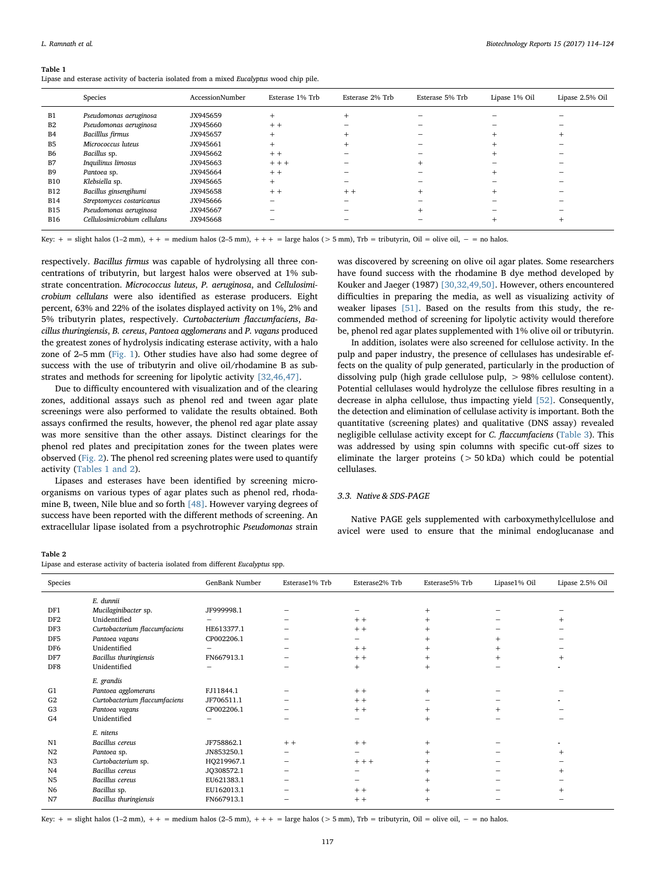#### <span id="page-3-0"></span>Table 1

Lipase and esterase activity of bacteria isolated from a mixed Eucalyptus wood chip pile.

|                | Species                      | AccessionNumber | Esterase 1% Trb | Esterase 2% Trb | Esterase 5% Trb | Lipase 1% Oil | Lipase 2.5% Oil |
|----------------|------------------------------|-----------------|-----------------|-----------------|-----------------|---------------|-----------------|
| B1             | Pseudomonas aeruginosa       | JX945659        |                 |                 |                 |               |                 |
| B <sub>2</sub> | Pseudomonas aeruginosa       | JX945660        | $+ +$           |                 |                 |               |                 |
| <b>B4</b>      | Bacilllus firmus             | JX945657        |                 |                 |                 |               |                 |
| <b>B5</b>      | Micrococcus luteus           | JX945661        | $+$             |                 |                 |               |                 |
| <b>B6</b>      | Bacillus sp.                 | JX945662        | $+ +$           |                 |                 |               |                 |
| B7             | Inquilinus limosus           | JX945663        | $+ + +$         |                 |                 |               |                 |
| B <sub>9</sub> | Pantoea sp.                  | JX945664        | $+ +$           |                 |                 |               |                 |
| <b>B10</b>     | Klebsiella sp.               | JX945665        | $+$             |                 |                 |               |                 |
| <b>B12</b>     | Bacillus ginsengihumi        | JX945658        | $+ +$           | $+ +$           |                 |               |                 |
| <b>B14</b>     | Streptomyces costaricanus    | JX945666        |                 |                 |                 |               |                 |
| <b>B15</b>     | Pseudomonas aeruginosa       | JX945667        |                 |                 |                 |               |                 |
| <b>B16</b>     | Cellulosimicrobium cellulans | JX945668        |                 |                 |                 |               |                 |

Key:  $+$  = slight halos (1–2 mm),  $++$  = medium halos (2–5 mm),  $++$  = large halos (> 5 mm), Trb = tributyrin, Oil = olive oil,  $-$  = no halos.

respectively. Bacillus firmus was capable of hydrolysing all three concentrations of tributyrin, but largest halos were observed at 1% substrate concentration. Micrococcus luteus, P. aeruginosa, and Cellulosimicrobium cellulans were also identified as esterase producers. Eight percent, 63% and 22% of the isolates displayed activity on 1%, 2% and 5% tributyrin plates, respectively. Curtobacterium flaccumfaciens, Bacillus thuringiensis, B. cereus, Pantoea agglomerans and P. vagans produced the greatest zones of hydrolysis indicating esterase activity, with a halo zone of 2–5 mm ([Fig. 1](#page-4-0)). Other studies have also had some degree of success with the use of tributyrin and olive oil/rhodamine B as substrates and methods for screening for lipolytic activity [\[32,46,47\].](#page-9-6)

Due to difficulty encountered with visualization and of the clearing zones, additional assays such as phenol red and tween agar plate screenings were also performed to validate the results obtained. Both assays confirmed the results, however, the phenol red agar plate assay was more sensitive than the other assays. Distinct clearings for the phenol red plates and precipitation zones for the tween plates were observed [\(Fig. 2\)](#page-4-1). The phenol red screening plates were used to quantify activity ([Tables 1 and 2](#page-3-0)).

Lipases and esterases have been identified by screening microorganisms on various types of agar plates such as phenol red, rhodamine B, tween, Nile blue and so forth [\[48\]](#page-9-19). However varying degrees of success have been reported with the different methods of screening. An extracellular lipase isolated from a psychrotrophic Pseudomonas strain

was discovered by screening on olive oil agar plates. Some researchers have found success with the rhodamine B dye method developed by Kouker and Jaeger (1987) [\[30,32,49,50\].](#page-9-4) However, others encountered difficulties in preparing the media, as well as visualizing activity of weaker lipases [\[51\]](#page-9-20). Based on the results from this study, the recommended method of screening for lipolytic activity would therefore be, phenol red agar plates supplemented with 1% olive oil or tributyrin.

In addition, isolates were also screened for cellulose activity. In the pulp and paper industry, the presence of cellulases has undesirable effects on the quality of pulp generated, particularly in the production of dissolving pulp (high grade cellulose pulp, > 98% cellulose content). Potential cellulases would hydrolyze the cellulose fibres resulting in a decrease in alpha cellulose, thus impacting yield [\[52\]](#page-9-21). Consequently, the detection and elimination of cellulase activity is important. Both the quantitative (screening plates) and qualitative (DNS assay) revealed negligible cellulase activity except for C. flaccumfaciens [\(Table 3\)](#page-4-2). This was addressed by using spin columns with specific cut-off sizes to eliminate the larger proteins  $(> 50 kDa)$  which could be potential cellulases.

## 3.3. Native & SDS-PAGE

Native PAGE gels supplemented with carboxymethylcellulose and avicel were used to ensure that the minimal endoglucanase and

#### <span id="page-3-1"></span>Table 2

| Species         |                               | GenBank Number | Esterase1% Trb | Esterase2% Trb | Esterase5% Trb | Lipase1% Oil | Lipase 2.5% Oil |
|-----------------|-------------------------------|----------------|----------------|----------------|----------------|--------------|-----------------|
|                 | E. dunnii                     |                |                |                |                |              |                 |
| DF1             | Mucilaginibacter sp.          | JF999998.1     |                |                |                |              |                 |
| DF <sub>2</sub> | Unidentified                  |                |                | $+ +$          |                |              |                 |
| DF3             | Curtobacterium flaccumfaciens | HE613377.1     |                | $+ +$          |                |              |                 |
| DF5             | Pantoea vagans                | CP002206.1     |                | -              | $^{+}$         | $^{+}$       |                 |
| DF6             | Unidentified                  |                |                | $+ +$          | $^{+}$         | $^{+}$       |                 |
| DF7             | Bacillus thuringiensis        | FN667913.1     |                | $+ +$          | $^{+}$         | $^{+}$       |                 |
| DF8             | Unidentified                  |                |                | $+$            | $^{+}$         |              |                 |
|                 | E. grandis                    |                |                |                |                |              |                 |
| G1              | Pantoea agglomerans           | FJ11844.1      |                | $+ +$          | $^{+}$         |              |                 |
| G <sub>2</sub>  | Curtobacterium flaccumfaciens | JF706511.1     |                | $+ +$          |                |              |                 |
| G <sub>3</sub>  | Pantoea vagans                | CP002206.1     |                | $+ +$          |                |              |                 |
| G4              | Unidentified                  |                |                | -              | $^{+}$         |              |                 |
|                 | E. nitens                     |                |                |                |                |              |                 |
| N1              | Bacillus cereus               | JF758862.1     | $+ +$          | $+ +$          | $+$            |              |                 |
| N <sub>2</sub>  | Pantoea sp.                   | JN853250.1     | -              |                |                |              | $^{+}$          |
| N3              | Curtobacterium sp.            | HQ219967.1     | -              | $+ + +$        | $^{+}$         |              |                 |
| N <sub>4</sub>  | Bacillus cereus               | JQ308572.1     |                |                | $^{+}$         |              |                 |
| N <sub>5</sub>  | Bacillus cereus               | EU621383.1     |                | -              | $^{+}$         |              |                 |
| N <sub>6</sub>  | Bacillus sp.                  | EU162013.1     |                | $+ +$          |                |              |                 |
| N7              | Bacillus thuringiensis        | FN667913.1     |                | $+ +$          | $^{+}$         |              |                 |

Key: + = slight halos (1–2 mm), + + = medium halos (2–5 mm), + + + = large halos (> 5 mm), Trb = tributyrin, Oil = olive oil, - = no halos.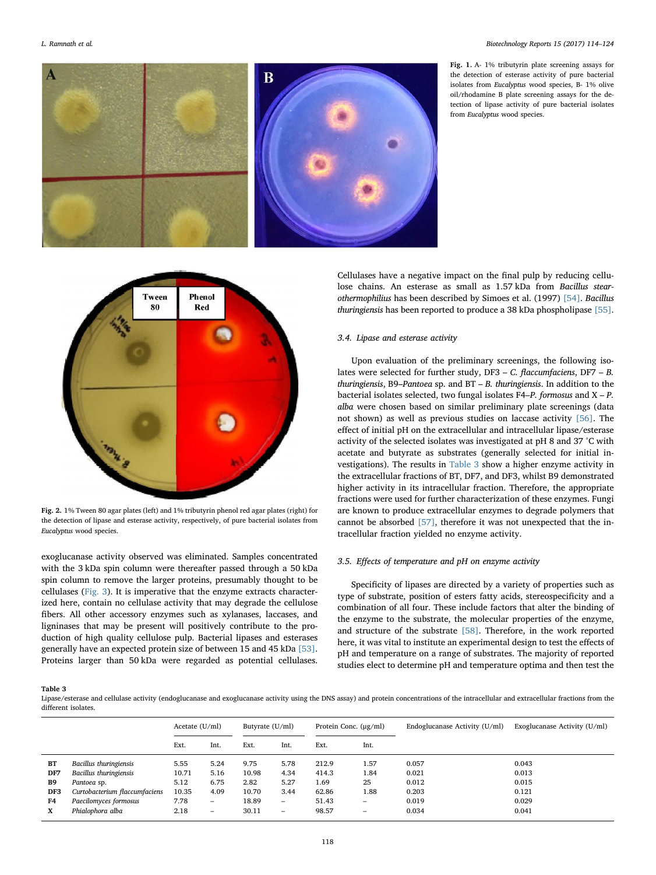<span id="page-4-0"></span>

Fig. 1. A- 1% tributyrin plate screening assays for the detection of esterase activity of pure bacterial isolates from Eucalyptus wood species, B- 1% olive oil/rhodamine B plate screening assays for the detection of lipase activity of pure bacterial isolates from Eucalyptus wood species.

<span id="page-4-1"></span>

Fig. 2. 1% Tween 80 agar plates (left) and 1% tributyrin phenol red agar plates (right) for the detection of lipase and esterase activity, respectively, of pure bacterial isolates from Eucalyptus wood species.

exoglucanase activity observed was eliminated. Samples concentrated with the 3 kDa spin column were thereafter passed through a 50 kDa spin column to remove the larger proteins, presumably thought to be cellulases ([Fig. 3](#page-5-0)). It is imperative that the enzyme extracts characterized here, contain no cellulase activity that may degrade the cellulose fibers. All other accessory enzymes such as xylanases, laccases, and ligninases that may be present will positively contribute to the production of high quality cellulose pulp. Bacterial lipases and esterases generally have an expected protein size of between 15 and 45 kDa [\[53\]](#page-9-22). Proteins larger than 50 kDa were regarded as potential cellulases.

Cellulases have a negative impact on the final pulp by reducing cellulose chains. An esterase as small as 1.57 kDa from Bacillus stearothermophilius has been described by Simoes et al. (1997) [\[54\]](#page-9-23). Bacillus thuringiensis has been reported to produce a 38 kDa phospholipase [\[55\]](#page-9-24).

### 3.4. Lipase and esterase activity

Upon evaluation of the preliminary screenings, the following isolates were selected for further study, DF3 – C. flaccumfaciens, DF7 – B. thuringiensis, B9–Pantoea sp. and BT – B. thuringiensis. In addition to the bacterial isolates selected, two fungal isolates F4–P. formosus and  $X - P$ . alba were chosen based on similar preliminary plate screenings (data not shown) as well as previous studies on laccase activity [\[56\].](#page-9-25) The effect of initial pH on the extracellular and intracellular lipase/esterase activity of the selected isolates was investigated at pH 8 and 37 °C with acetate and butyrate as substrates (generally selected for initial investigations). The results in [Table 3](#page-4-2) show a higher enzyme activity in the extracellular fractions of BT, DF7, and DF3, whilst B9 demonstrated higher activity in its intracellular fraction. Therefore, the appropriate fractions were used for further characterization of these enzymes. Fungi are known to produce extracellular enzymes to degrade polymers that cannot be absorbed [\[57\]](#page-9-26), therefore it was not unexpected that the intracellular fraction yielded no enzyme activity.

#### 3.5. Effects of temperature and pH on enzyme activity

Specificity of lipases are directed by a variety of properties such as type of substrate, position of esters fatty acids, stereospecificity and a combination of all four. These include factors that alter the binding of the enzyme to the substrate, the molecular properties of the enzyme, and structure of the substrate [\[58\].](#page-9-27) Therefore, in the work reported here, it was vital to institute an experimental design to test the effects of pH and temperature on a range of substrates. The majority of reported studies elect to determine pH and temperature optima and then test the

## <span id="page-4-2"></span>Table 3

Lipase/esterase and cellulase activity (endoglucanase and exoglucanase activity using the DNS assay) and protein concentrations of the intracellular and extracellular fractions from the different isolates.

|                               | Acetate $(U/ml)$ |                          | Butyrate (U/ml) |                          | Protein Conc. $(\mu g/ml)$ |                          | Endoglucanase Activity (U/ml) | Exoglucanase Activity (U/ml) |
|-------------------------------|------------------|--------------------------|-----------------|--------------------------|----------------------------|--------------------------|-------------------------------|------------------------------|
|                               | Ext.             | Int.                     | Ext.            | Int.                     | Ext.                       | Int.                     |                               |                              |
| Bacillus thuringiensis        | 5.55             | 5.24                     | 9.75            | 5.78                     | 212.9                      | 1.57                     | 0.057                         | 0.043                        |
| Bacillus thuringiensis        | 10.71            | 5.16                     | 10.98           | 4.34                     | 414.3                      | 1.84                     | 0.021                         | 0.013                        |
| Pantoea sp.                   | 5.12             | 6.75                     | 2.82            | 5.27                     | 1.69                       | 25                       | 0.012                         | 0.015                        |
| Curtobacterium flaccumfaciens | 10.35            | 4.09                     | 10.70           | 3.44                     | 62.86                      | 1.88                     | 0.203                         | 0.121                        |
| Paecilomyces formosus         | 7.78             | $\overline{\phantom{m}}$ | 18.89           | $\overline{\phantom{0}}$ | 51.43                      | $\qquad \qquad -$        | 0.019                         | 0.029                        |
| Phialophora alba              | 2.18             | $\qquad \qquad =$        | 30.11           | $\overline{\phantom{0}}$ | 98.57                      | $\overline{\phantom{0}}$ | 0.034                         | 0.041                        |
|                               |                  |                          |                 |                          |                            |                          |                               |                              |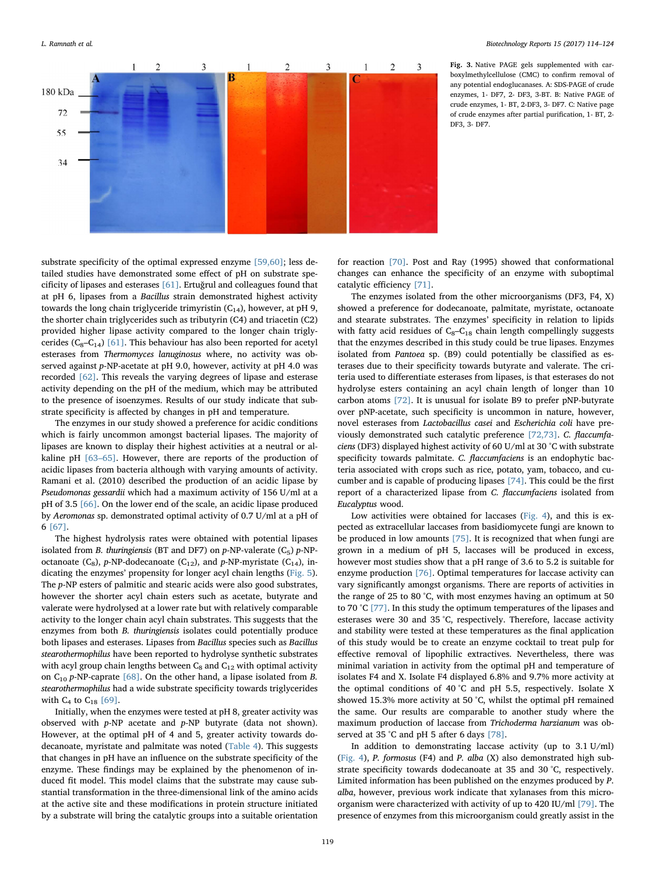<span id="page-5-0"></span>

Fig. 3. Native PAGE gels supplemented with carboxylmethylcellulose (CMC) to confirm removal of any potential endoglucanases. A: SDS-PAGE of crude enzymes, 1- DF7, 2- DF3, 3-BT. B: Native PAGE of crude enzymes, 1- BT, 2-DF3, 3- DF7. C: Native page of crude enzymes after partial purification, 1- BT, 2- DF3, 3- DF7.

substrate specificity of the optimal expressed enzyme [\[59,60\]](#page-9-28); less detailed studies have demonstrated some effect of pH on substrate specificity of lipases and esterases [\[61\].](#page-9-29) Ertuğrul and colleagues found that at pH 6, lipases from a Bacillus strain demonstrated highest activity towards the long chain triglyceride trimyristin  $(C_{14})$ , however, at pH 9, the shorter chain triglycerides such as tributyrin (C4) and triacetin (C2) provided higher lipase activity compared to the longer chain triglycerides ( $C_8 - C_{14}$ ) [\[61\].](#page-9-29) This behaviour has also been reported for acetyl esterases from Thermomyces lanuginosus where, no activity was observed against p-NP-acetate at pH 9.0, however, activity at pH 4.0 was recorded [\[62\]](#page-9-30). This reveals the varying degrees of lipase and esterase activity depending on the pH of the medium, which may be attributed to the presence of isoenzymes. Results of our study indicate that substrate specificity is affected by changes in pH and temperature.

The enzymes in our study showed a preference for acidic conditions which is fairly uncommon amongst bacterial lipases. The majority of lipases are known to display their highest activities at a neutral or alkaline pH [63–[65\].](#page-9-31) However, there are reports of the production of acidic lipases from bacteria although with varying amounts of activity. Ramani et al. (2010) described the production of an acidic lipase by Pseudomonas gessardii which had a maximum activity of 156 U/ml at a pH of 3.5 [\[66\]](#page-9-32). On the lower end of the scale, an acidic lipase produced by Aeromonas sp. demonstrated optimal activity of 0.7 U/ml at a pH of 6 [\[67\]](#page-9-33).

The highest hydrolysis rates were obtained with potential lipases isolated from B. thuringiensis (BT and DF7) on  $p$ -NP-valerate (C<sub>5</sub>)  $p$ -NPoctanoate (C<sub>8</sub>), p-NP-dodecanoate (C<sub>12</sub>), and p-NP-myristate (C<sub>14</sub>), indicating the enzymes' propensity for longer acyl chain lengths [\(Fig. 5](#page-7-0)). The p-NP esters of palmitic and stearic acids were also good substrates, however the shorter acyl chain esters such as acetate, butyrate and valerate were hydrolysed at a lower rate but with relatively comparable activity to the longer chain acyl chain substrates. This suggests that the enzymes from both B. thuringiensis isolates could potentially produce both lipases and esterases. Lipases from Bacillus species such as Bacillus stearothermophilus have been reported to hydrolyse synthetic substrates with acyl group chain lengths between  $C_8$  and  $C_{12}$  with optimal activity on  $C_{10}$  p-NP-caprate [\[68\]](#page-9-34). On the other hand, a lipase isolated from B. stearothermophilus had a wide substrate specificity towards triglycerides with  $C_4$  to  $C_{18}$  [\[69\]](#page-9-35).

Initially, when the enzymes were tested at pH 8, greater activity was observed with p-NP acetate and p-NP butyrate (data not shown). However, at the optimal pH of 4 and 5, greater activity towards dodecanoate, myristate and palmitate was noted [\(Table 4](#page-6-0)). This suggests that changes in pH have an influence on the substrate specificity of the enzyme. These findings may be explained by the phenomenon of induced fit model. This model claims that the substrate may cause substantial transformation in the three-dimensional link of the amino acids at the active site and these modifications in protein structure initiated by a substrate will bring the catalytic groups into a suitable orientation

for reaction [\[70\].](#page-9-36) Post and Ray (1995) showed that conformational changes can enhance the specificity of an enzyme with suboptimal catalytic efficiency [\[71\].](#page-9-37)

The enzymes isolated from the other microorganisms (DF3, F4, X) showed a preference for dodecanoate, palmitate, myristate, octanoate and stearate substrates. The enzymes' specificity in relation to lipids with fatty acid residues of  $C_8 - C_{18}$  chain length compellingly suggests that the enzymes described in this study could be true lipases. Enzymes isolated from Pantoea sp. (B9) could potentially be classified as esterases due to their specificity towards butyrate and valerate. The criteria used to differentiate esterases from lipases, is that esterases do not hydrolyse esters containing an acyl chain length of longer than 10 carbon atoms [\[72\]](#page-9-38). It is unusual for isolate B9 to prefer pNP-butyrate over pNP-acetate, such specificity is uncommon in nature, however, novel esterases from Lactobacillus casei and Escherichia coli have previously demonstrated such catalytic preference [\[72,73\]](#page-9-38). C. flaccumfaciens (DF3) displayed highest activity of 60 U/ml at 30 °C with substrate specificity towards palmitate. C. flaccumfaciens is an endophytic bacteria associated with crops such as rice, potato, yam, tobacco, and cucumber and is capable of producing lipases [\[74\]](#page-9-39). This could be the first report of a characterized lipase from C. flaccumfaciens isolated from Eucalyptus wood.

Low activities were obtained for laccases ([Fig. 4\)](#page-6-1), and this is expected as extracellular laccases from basidiomycete fungi are known to be produced in low amounts [\[75\]](#page-9-40). It is recognized that when fungi are grown in a medium of pH 5, laccases will be produced in excess, however most studies show that a pH range of 3.6 to 5.2 is suitable for enzyme production [\[76\].](#page-9-41) Optimal temperatures for laccase activity can vary significantly amongst organisms. There are reports of activities in the range of 25 to 80 °C, with most enzymes having an optimum at 50 to 70 °C [\[77\].](#page-9-42) In this study the optimum temperatures of the lipases and esterases were 30 and 35 °C, respectively. Therefore, laccase activity and stability were tested at these temperatures as the final application of this study would be to create an enzyme cocktail to treat pulp for effective removal of lipophilic extractives. Nevertheless, there was minimal variation in activity from the optimal pH and temperature of isolates F4 and X. Isolate F4 displayed 6.8% and 9.7% more activity at the optimal conditions of 40 °C and pH 5.5, respectively. Isolate X showed 15.3% more activity at 50 °C, whilst the optimal pH remained the same. Our results are comparable to another study where the maximum production of laccase from Trichoderma harzianum was ob-served at 35 °C and pH 5 after 6 days [\[78\]](#page-9-43).

In addition to demonstrating laccase activity (up to 3.1 U/ml) ([Fig. 4](#page-6-1)), P. formosus (F4) and P. alba (X) also demonstrated high substrate specificity towards dodecanoate at 35 and 30 °C, respectively. Limited information has been published on the enzymes produced by P. alba, however, previous work indicate that xylanases from this microorganism were characterized with activity of up to 420 IU/ml [\[79\]](#page-9-44). The presence of enzymes from this microorganism could greatly assist in the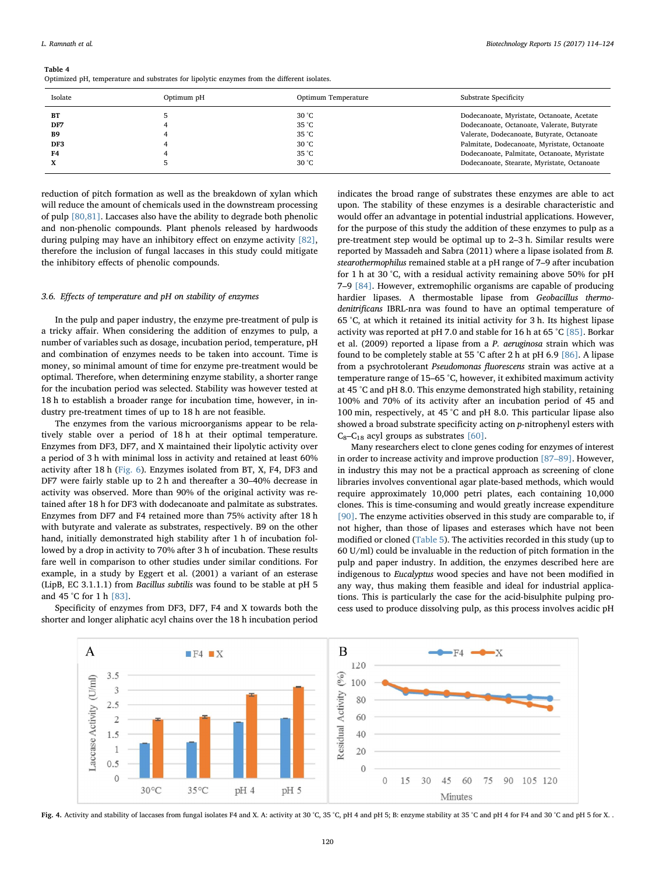#### <span id="page-6-0"></span>Table 4

Optimized pH, temperature and substrates for lipolytic enzymes from the different isolates.

| Isolate   | Optimum pH | Optimum Temperature | Substrate Specificity                        |
|-----------|------------|---------------------|----------------------------------------------|
| ВT        |            | $30^{\circ}$ C      | Dodecanoate, Myristate, Octanoate, Acetate   |
| DF7       |            | 35 °C               | Dodecanoate, Octanoate, Valerate, Butyrate   |
| <b>B9</b> |            | 35 °C               | Valerate, Dodecanoate, Butyrate, Octanoate   |
| DF3       |            | $30^{\circ}$ C      | Palmitate, Dodecanoate, Myristate, Octanoate |
| F4        |            | 35 °C               | Dodecanoate, Palmitate, Octanoate, Myristate |
|           |            | 30 °C               | Dodecanoate, Stearate, Myristate, Octanoate  |

reduction of pitch formation as well as the breakdown of xylan which will reduce the amount of chemicals used in the downstream processing of pulp [\[80,81\].](#page-9-45) Laccases also have the ability to degrade both phenolic and non-phenolic compounds. Plant phenols released by hardwoods during pulping may have an inhibitory effect on enzyme activity [\[82\]](#page-9-46), therefore the inclusion of fungal laccases in this study could mitigate the inhibitory effects of phenolic compounds.

## 3.6. Effects of temperature and pH on stability of enzymes

In the pulp and paper industry, the enzyme pre-treatment of pulp is a tricky affair. When considering the addition of enzymes to pulp, a number of variables such as dosage, incubation period, temperature, pH and combination of enzymes needs to be taken into account. Time is money, so minimal amount of time for enzyme pre-treatment would be optimal. Therefore, when determining enzyme stability, a shorter range for the incubation period was selected. Stability was however tested at 18 h to establish a broader range for incubation time, however, in industry pre-treatment times of up to 18 h are not feasible.

The enzymes from the various microorganisms appear to be relatively stable over a period of 18 h at their optimal temperature. Enzymes from DF3, DF7, and X maintained their lipolytic activity over a period of 3 h with minimal loss in activity and retained at least 60% activity after 18 h [\(Fig. 6\)](#page-7-1). Enzymes isolated from BT, X, F4, DF3 and DF7 were fairly stable up to 2 h and thereafter a 30–40% decrease in activity was observed. More than 90% of the original activity was retained after 18 h for DF3 with dodecanoate and palmitate as substrates. Enzymes from DF7 and F4 retained more than 75% activity after 18 h with butyrate and valerate as substrates, respectively. B9 on the other hand, initially demonstrated high stability after 1 h of incubation followed by a drop in activity to 70% after 3 h of incubation. These results fare well in comparison to other studies under similar conditions. For example, in a study by Eggert et al. (2001) a variant of an esterase (LipB, EC 3.1.1.1) from Bacillus subtilis was found to be stable at pH 5 and 45 °C for 1 h [\[83\].](#page-9-47)

Specificity of enzymes from DF3, DF7, F4 and X towards both the shorter and longer aliphatic acyl chains over the 18 h incubation period indicates the broad range of substrates these enzymes are able to act upon. The stability of these enzymes is a desirable characteristic and would offer an advantage in potential industrial applications. However, for the purpose of this study the addition of these enzymes to pulp as a pre-treatment step would be optimal up to 2–3 h. Similar results were reported by Massadeh and Sabra (2011) where a lipase isolated from B. stearothermophilus remained stable at a pH range of 7–9 after incubation for 1 h at 30 °C, with a residual activity remaining above 50% for pH 7–9 [\[84\].](#page-9-48) However, extremophilic organisms are capable of producing hardier lipases. A thermostable lipase from Geobacillus thermodenitrificans IBRL-nra was found to have an optimal temperature of 65 °C, at which it retained its initial activity for 3 h. Its highest lipase activity was reported at pH 7.0 and stable for 16 h at 65 °C [\[85\].](#page-9-49) Borkar et al. (2009) reported a lipase from a P. aeruginosa strain which was found to be completely stable at 55 °C after 2 h at pH 6.9 [\[86\]](#page-10-0). A lipase from a psychrotolerant Pseudomonas fluorescens strain was active at a temperature range of 15–65 °C, however, it exhibited maximum activity at 45 °C and pH 8.0. This enzyme demonstrated high stability, retaining 100% and 70% of its activity after an incubation period of 45 and 100 min, respectively, at 45 °C and pH 8.0. This particular lipase also showed a broad substrate specificity acting on p-nitrophenyl esters with  $C_8 - C_{18}$  acyl groups as substrates [\[60\]](#page-9-50).

Many researchers elect to clone genes coding for enzymes of interest in order to increase activity and improve production [87–[89\].](#page-10-1) However, in industry this may not be a practical approach as screening of clone libraries involves conventional agar plate-based methods, which would require approximately 10,000 petri plates, each containing 10,000 clones. This is time-consuming and would greatly increase expenditure [\[90\]](#page-10-2). The enzyme activities observed in this study are comparable to, if not higher, than those of lipases and esterases which have not been modified or cloned [\(Table 5](#page-8-14)). The activities recorded in this study (up to 60 U/ml) could be invaluable in the reduction of pitch formation in the pulp and paper industry. In addition, the enzymes described here are indigenous to Eucalyptus wood species and have not been modified in any way, thus making them feasible and ideal for industrial applications. This is particularly the case for the acid-bisulphite pulping process used to produce dissolving pulp, as this process involves acidic pH

<span id="page-6-1"></span>

Fig. 4. Activity and stability of laccases from fungal isolates F4 and X. A: activity at 30 °C,  $25$  °C,  $pH$  4 and pH 5; B: enzyme stability at 35 °C and pH 4 for F4 and 30 °C and pH 5 for X. .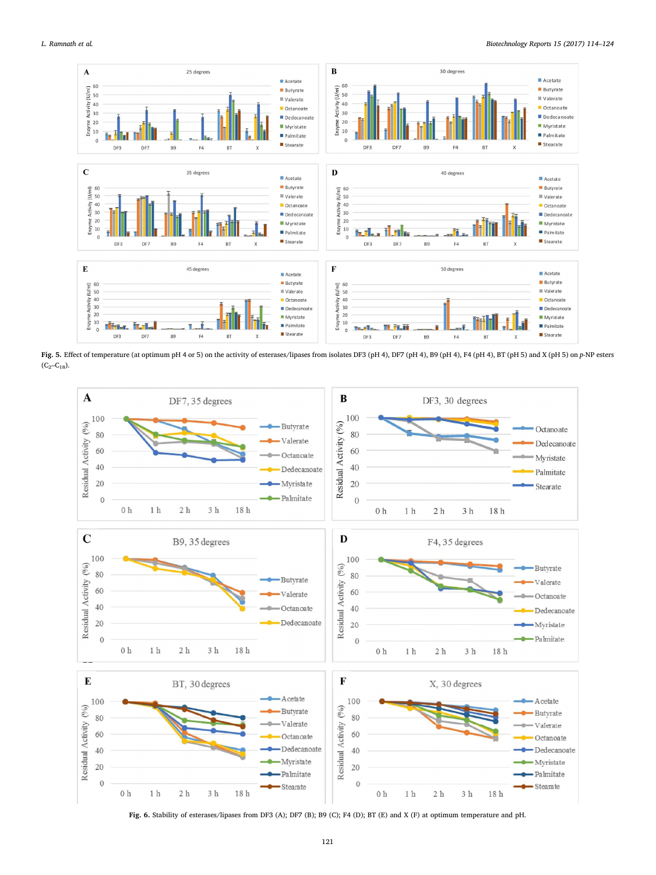<span id="page-7-0"></span>

Fig. 5. Effect of temperature (at optimum pH 4 or 5) on the activity of esterases/lipases from isolates DF3 (pH 4), DF7 (pH 4), B9 (pH 4), F4 (pH 4), BT (pH 5) and X (pH 5) on p-NP esters  $(C_2-C_{18})$ .

<span id="page-7-1"></span>

Fig. 6. Stability of esterases/lipases from DF3 (A); DF7 (B); B9 (C); F4 (D); BT (E) and X (F) at optimum temperature and pH.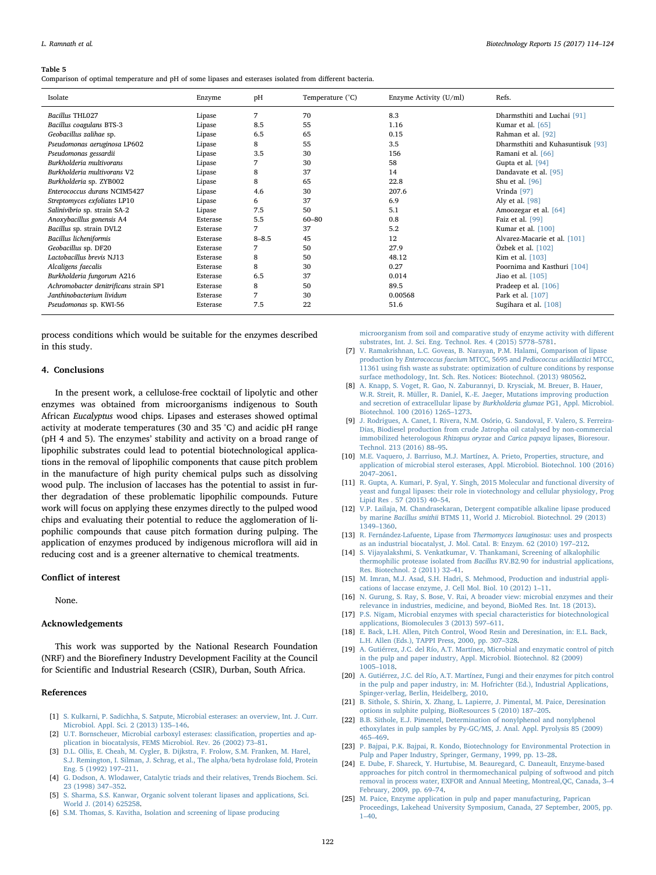#### <span id="page-8-14"></span>Table 5

Comparison of optimal temperature and pH of some lipases and esterases isolated from different bacteria.

| Isolate                                | Enzyme   | pH        | Temperature (°C) | Enzyme Activity (U/ml) | Refs.                             |
|----------------------------------------|----------|-----------|------------------|------------------------|-----------------------------------|
| <b>Bacillus THL027</b>                 | Lipase   | 7         | 70               | 8.3                    | Dharmsthiti and Luchai [91]       |
| Bacillus coagulans BTS-3               | Lipase   | 8.5       | 55               | 1.16                   | Kumar et al. $[65]$               |
| Geobacillus zalihae sp.                | Lipase   | 6.5       | 65               | 0.15                   | Rahman et al. [92]                |
| Pseudomonas aeruginosa LP602           | Lipase   | 8         | 55               | 3.5                    | Dharmsthiti and Kuhasuntisuk [93] |
| Pseudomonas gessardii                  | Lipase   | 3.5       | 30               | 156                    | Ramani et al. [66]                |
| Burkholderia multivorans               | Lipase   | 7         | 30               | 58                     | Gupta et al. [94]                 |
| Burkholderia multivorans V2            | Lipase   | 8         | 37               | 14                     | Dandavate et al. [95]             |
| Burkholderia sp. ZYB002                | Lipase   | 8         | 65               | 22.8                   | Shu et al. [96]                   |
| Enterococcus durans NCIM5427           | Lipase   | 4.6       | 30               | 207.6                  | Vrinda [97]                       |
| Streptomyces exfoliates LP10           | Lipase   | 6         | 37               | 6.9                    | Aly et al. [98]                   |
| Salinivibrio sp. strain SA-2           | Lipase   | 7.5       | 50               | 5.1                    | Amoozegar et al. [64]             |
| Anoxybacillus gonensis A4              | Esterase | 5.5       | $60 - 80$        | 0.8                    | Faiz et al. [99]                  |
| Bacillus sp. strain DVL2               | Esterase | 7         | 37               | 5.2                    | Kumar et al. [100]                |
| Bacillus licheniformis                 | Esterase | $8 - 8.5$ | 45               | 12                     | Alvarez-Macarie et al. [101]      |
| Geobacillus sp. DF20                   | Esterase | 7         | 50               | 27.9                   | Özbek et al. [102]                |
| Lactobacillus brevis NJ13              | Esterase | 8         | 50               | 48.12                  | Kim et al. [103]                  |
| Alcaligens faecalis                    | Esterase | 8         | 30               | 0.27                   | Poornima and Kasthuri [104]       |
| Burkholderia fungorum A216             | Esterase | 6.5       | 37               | 0.014                  | Jiao et al. [105]                 |
| Achromobacter denitrificans strain SP1 | Esterase | 8         | 50               | 89.5                   | Pradeep et al. [106]              |
| Janthinobacterium lividum              | Esterase | 7         | 30               | 0.00568                | Park et al. [107]                 |
| Pseudomonas sp. KWI-56                 | Esterase | 7.5       | 22               | 51.6                   | Sugihara et al. [108]             |

process conditions which would be suitable for the enzymes described in this study.

#### 4. Conclusions

In the present work, a cellulose-free cocktail of lipolytic and other enzymes was obtained from microorganisms indigenous to South African Eucalyptus wood chips. Lipases and esterases showed optimal activity at moderate temperatures (30 and 35 °C) and acidic pH range (pH 4 and 5). The enzymes' stability and activity on a broad range of lipophilic substrates could lead to potential biotechnological applications in the removal of lipophilic components that cause pitch problem in the manufacture of high purity chemical pulps such as dissolving wood pulp. The inclusion of laccases has the potential to assist in further degradation of these problematic lipophilic compounds. Future work will focus on applying these enzymes directly to the pulped wood chips and evaluating their potential to reduce the agglomeration of lipophilic compounds that cause pitch formation during pulping. The application of enzymes produced by indigenous microflora will aid in reducing cost and is a greener alternative to chemical treatments.

## Conflict of interest

None.

#### Acknowledgements

This work was supported by the National Research Foundation (NRF) and the Biorefinery Industry Development Facility at the Council for Scientific and Industrial Research (CSIR), Durban, South Africa.

## References

- <span id="page-8-0"></span>[1] [S. Kulkarni, P. Sadichha, S. Satpute, Microbial esterases: an overview, Int. J. Curr.](http://refhub.elsevier.com/S2215-017X(17)30110-8/sbref0005) [Microbiol. Appl. Sci. 2 \(2013\) 135](http://refhub.elsevier.com/S2215-017X(17)30110-8/sbref0005)–146.
- <span id="page-8-1"></span>[2] [U.T. Bornscheuer, Microbial carboxyl esterases: classi](http://refhub.elsevier.com/S2215-017X(17)30110-8/sbref0010)fication, properties and ap[plication in biocatalysis, FEMS Microbiol. Rev. 26 \(2002\) 73](http://refhub.elsevier.com/S2215-017X(17)30110-8/sbref0010)–81.
- <span id="page-8-2"></span>[3] [D.L. Ollis, E. Cheah, M. Cygler, B. Dijkstra, F. Frolow, S.M. Franken, M. Harel,](http://refhub.elsevier.com/S2215-017X(17)30110-8/sbref0015) [S.J. Remington, I. Silman, J. Schrag, et al., The alpha/beta hydrolase fold, Protein](http://refhub.elsevier.com/S2215-017X(17)30110-8/sbref0015) [Eng. 5 \(1992\) 197](http://refhub.elsevier.com/S2215-017X(17)30110-8/sbref0015)–211.
- <span id="page-8-3"></span>[4] [G. Dodson, A. Wlodawer, Catalytic triads and their relatives, Trends Biochem. Sci.](http://refhub.elsevier.com/S2215-017X(17)30110-8/sbref0020) [23 \(1998\) 347](http://refhub.elsevier.com/S2215-017X(17)30110-8/sbref0020)–352.
- [5] [S. Sharma, S.S. Kanwar, Organic solvent tolerant lipases and applications, Sci.](http://refhub.elsevier.com/S2215-017X(17)30110-8/sbref0025) [World J. \(2014\) 625258.](http://refhub.elsevier.com/S2215-017X(17)30110-8/sbref0025)
- <span id="page-8-4"></span>[6] [S.M. Thomas, S. Kavitha, Isolation and screening of lipase producing](http://refhub.elsevier.com/S2215-017X(17)30110-8/sbref0030)

[microorganism from soil and comparative study of enzyme activity with di](http://refhub.elsevier.com/S2215-017X(17)30110-8/sbref0030)fferent [substrates, Int. J. Sci. Eng. Technol. Res. 4 \(2015\) 5778](http://refhub.elsevier.com/S2215-017X(17)30110-8/sbref0030)–5781.

- [7] [V. Ramakrishnan, L.C. Goveas, B. Narayan, P.M. Halami, Comparison of lipase](http://refhub.elsevier.com/S2215-017X(17)30110-8/sbref0035) production by Enterococcus faecium MTCC, 5695 and [Pediococcus acidilactici](http://refhub.elsevier.com/S2215-017X(17)30110-8/sbref0035) MTCC, 11361 using fi[sh waste as substrate: optimization of culture conditions by response](http://refhub.elsevier.com/S2215-017X(17)30110-8/sbref0035) [surface methodology, Int. Sch. Res. Notices: Biotechnol. \(2013\) 980562.](http://refhub.elsevier.com/S2215-017X(17)30110-8/sbref0035)
- <span id="page-8-5"></span>[8] [A. Knapp, S. Voget, R. Gao, N. Zaburannyi, D. Krysciak, M. Breuer, B. Hauer,](http://refhub.elsevier.com/S2215-017X(17)30110-8/sbref0040) [W.R. Streit, R. Müller, R. Daniel, K.-E. Jaeger, Mutations improving production](http://refhub.elsevier.com/S2215-017X(17)30110-8/sbref0040) [and secretion of extracellular lipase by](http://refhub.elsevier.com/S2215-017X(17)30110-8/sbref0040) Burkholderia glumae PG1, Appl. Microbiol. [Biotechnol. 100 \(2016\) 1265](http://refhub.elsevier.com/S2215-017X(17)30110-8/sbref0040)–1273.
- [9] [J. Rodrigues, A. Canet, I. Rivera, N.M. Osório, G. Sandoval, F. Valero, S. Ferreira-](http://refhub.elsevier.com/S2215-017X(17)30110-8/sbref0045)[Dias, Biodiesel production from crude Jatropha oil catalysed by non-commercial](http://refhub.elsevier.com/S2215-017X(17)30110-8/sbref0045) [immobilized heterologous](http://refhub.elsevier.com/S2215-017X(17)30110-8/sbref0045) Rhizopus oryzae and Carica papaya lipases, Bioresour. [Technol. 213 \(2016\) 88](http://refhub.elsevier.com/S2215-017X(17)30110-8/sbref0045)–95.
- [10] [M.E. Vaquero, J. Barriuso, M.J. Martínez, A. Prieto, Properties, structure, and](http://refhub.elsevier.com/S2215-017X(17)30110-8/sbref0050) [application of microbial sterol esterases, Appl. Microbiol. Biotechnol. 100 \(2016\)](http://refhub.elsevier.com/S2215-017X(17)30110-8/sbref0050) 2047–[2061.](http://refhub.elsevier.com/S2215-017X(17)30110-8/sbref0050)
- [11] [R. Gupta, A. Kumari, P. Syal, Y. Singh, 2015 Molecular and functional diversity of](http://refhub.elsevier.com/S2215-017X(17)30110-8/sbref0055) [yeast and fungal lipases: their role in viotechnology and cellular physiology, Prog](http://refhub.elsevier.com/S2215-017X(17)30110-8/sbref0055) [Lipid Res . 57 \(2015\) 40](http://refhub.elsevier.com/S2215-017X(17)30110-8/sbref0055)–54.
- [12] [V.P. Lailaja, M. Chandrasekaran, Detergent compatible alkaline lipase produced](http://refhub.elsevier.com/S2215-017X(17)30110-8/sbref0060) by marine Bacillus smithii [BTMS 11, World J. Microbiol. Biotechnol. 29 \(2013\)](http://refhub.elsevier.com/S2215-017X(17)30110-8/sbref0060) 1349–[1360.](http://refhub.elsevier.com/S2215-017X(17)30110-8/sbref0060)
- [13] [R. Fernández-Lafuente, Lipase from](http://refhub.elsevier.com/S2215-017X(17)30110-8/sbref0065) Thermomyces lanuginosus: uses and prospects [as an industrial biocatalyst, J. Mol. Catal. B: Enzym. 62 \(2010\) 197](http://refhub.elsevier.com/S2215-017X(17)30110-8/sbref0065)–212.
- <span id="page-8-6"></span>[14] S. [Vijayalakshmi, S. Venkatkumar, V. Thankamani, Screening of alkalophilic](http://refhub.elsevier.com/S2215-017X(17)30110-8/sbref0070) thermophilic protease isolated from Bacillus [RV.B2.90 for industrial applications,](http://refhub.elsevier.com/S2215-017X(17)30110-8/sbref0070) [Res. Biotechnol. 2 \(2011\) 32](http://refhub.elsevier.com/S2215-017X(17)30110-8/sbref0070)–41.
- [15] [M. Imran, M.J. Asad, S.H. Hadri, S. Mehmood, Production and industrial appli](http://refhub.elsevier.com/S2215-017X(17)30110-8/sbref0075)[cations of laccase enzyme, J. Cell Mol. Biol. 10 \(2012\) 1](http://refhub.elsevier.com/S2215-017X(17)30110-8/sbref0075)–11.
- <span id="page-8-7"></span>[16] [N. Gurung, S. Ray, S. Bose, V. Rai, A broader view: microbial enzymes and their](http://refhub.elsevier.com/S2215-017X(17)30110-8/sbref0080) [relevance in industries, medicine, and beyond, BioMed Res. Int. 18 \(2013\).](http://refhub.elsevier.com/S2215-017X(17)30110-8/sbref0080)
- <span id="page-8-8"></span>[17] [P.S. Nigam, Microbial enzymes with special characteristics for biotechnological](http://refhub.elsevier.com/S2215-017X(17)30110-8/sbref0085) [applications, Biomolecules 3 \(2013\) 597](http://refhub.elsevier.com/S2215-017X(17)30110-8/sbref0085)–611.
- [18] [E. Back, L.H. Allen, Pitch Control, Wood Resin and Deresination, in: E.L. Back,](http://refhub.elsevier.com/S2215-017X(17)30110-8/sbref0090) [L.H. Allen \(Eds.\), TAPPI Press, 2000, pp. 307](http://refhub.elsevier.com/S2215-017X(17)30110-8/sbref0090)–328.
- <span id="page-8-9"></span>[19] [A. Gutiérrez, J.C. del Río, A.T. Martínez, Microbial and enzymatic control of pitch](http://refhub.elsevier.com/S2215-017X(17)30110-8/sbref0095) [in the pulp and paper industry, Appl. Microbiol. Biotechnol. 82 \(2009\)](http://refhub.elsevier.com/S2215-017X(17)30110-8/sbref0095) 1005–[1018.](http://refhub.elsevier.com/S2215-017X(17)30110-8/sbref0095)
- <span id="page-8-10"></span>[20] [A. Gutiérrez, J.C. del Río, A.T. Martínez, Fungi and their enzymes for pitch control](http://refhub.elsevier.com/S2215-017X(17)30110-8/sbref0100) [in the pulp and paper industry, in: M. Hofrichter \(Ed.\), Industrial Applications,](http://refhub.elsevier.com/S2215-017X(17)30110-8/sbref0100) [Spinger-verlag, Berlin, Heidelberg, 2010.](http://refhub.elsevier.com/S2215-017X(17)30110-8/sbref0100)
- <span id="page-8-11"></span>[21] [B. Sithole, S. Shirin, X. Zhang, L. Lapierre, J. Pimental, M. Paice, Deresination](http://refhub.elsevier.com/S2215-017X(17)30110-8/sbref0105) [options in sulphite pulping, BioResources 5 \(2010\) 187](http://refhub.elsevier.com/S2215-017X(17)30110-8/sbref0105)–205.
- [22] [B.B. Sithole, E.J. Pimentel, Determination of nonylphenol and nonylphenol](http://refhub.elsevier.com/S2215-017X(17)30110-8/sbref0110) [ethoxylates in pulp samples by Py-GC/MS, J. Anal. Appl. Pyrolysis 85 \(2009\)](http://refhub.elsevier.com/S2215-017X(17)30110-8/sbref0110) 465–[469.](http://refhub.elsevier.com/S2215-017X(17)30110-8/sbref0110)
- <span id="page-8-12"></span>[23] [P. Bajpai, P.K. Bajpai, R. Kondo, Biotechnology for Environmental Protection in](http://refhub.elsevier.com/S2215-017X(17)30110-8/sbref0115) [Pulp and Paper Industry, Springer, Germany, 1999, pp. 13](http://refhub.elsevier.com/S2215-017X(17)30110-8/sbref0115)–28.
- <span id="page-8-13"></span>[24] [E. Dube, F. Shareck, Y. Hurtubise, M. Beauregard, C. Daneault, Enzyme-based](http://refhub.elsevier.com/S2215-017X(17)30110-8/sbref0120) [approaches for pitch control in thermomechanical pulping of softwood and pitch](http://refhub.elsevier.com/S2215-017X(17)30110-8/sbref0120) [removal in process water, EXFOR and Annual Meeting, Montreal,QC, Canada, 3](http://refhub.elsevier.com/S2215-017X(17)30110-8/sbref0120)–4 [February, 2009, pp. 69](http://refhub.elsevier.com/S2215-017X(17)30110-8/sbref0120)–74.
- [25] [M. Paice, Enzyme application in pulp and paper manufacturing, Paprican](http://refhub.elsevier.com/S2215-017X(17)30110-8/sbref0125) [Proceedings, Lakehead University Symposium, Canada, 27 September, 2005, pp.](http://refhub.elsevier.com/S2215-017X(17)30110-8/sbref0125) 1–[40.](http://refhub.elsevier.com/S2215-017X(17)30110-8/sbref0125)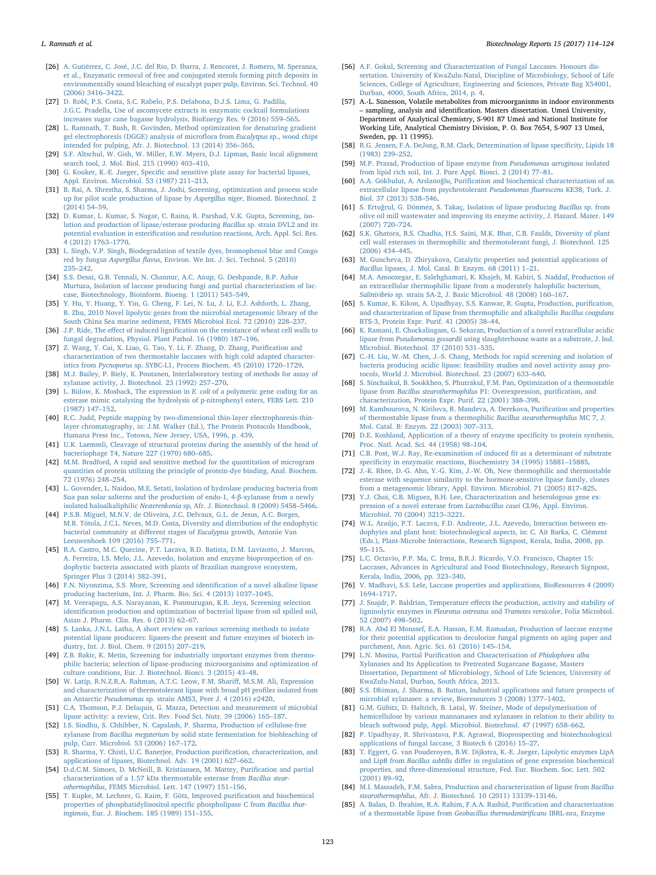- <span id="page-9-0"></span>[26] [A. Gutiérrez, C. José, J.C. del Rio, D. Ibarra, J. Rencoret, J. Romero, M. Speranza,](http://refhub.elsevier.com/S2215-017X(17)30110-8/sbref0130) [et al., Enzymatic removal of free and conjugated sterols forming pitch deposits in](http://refhub.elsevier.com/S2215-017X(17)30110-8/sbref0130) [environmentally sound bleaching of eucalypt paper pulp, Environ. Sci. Technol. 40](http://refhub.elsevier.com/S2215-017X(17)30110-8/sbref0130) [\(2006\) 3416](http://refhub.elsevier.com/S2215-017X(17)30110-8/sbref0130)–3422.
- <span id="page-9-1"></span>[27] [D. Robl, P.S. Costa, S.C. Rabelo, P.S. Delabona, D.J.S. Lima, G. Padilla,](http://refhub.elsevier.com/S2215-017X(17)30110-8/sbref0135) [J.G.C. Pradella, Use of ascomycete extracts in enzymatic cocktail formulations](http://refhub.elsevier.com/S2215-017X(17)30110-8/sbref0135) [increases sugar cane bagasse hydrolysis, BioEnergy Res. 9 \(2016\) 559](http://refhub.elsevier.com/S2215-017X(17)30110-8/sbref0135)–565.
- <span id="page-9-2"></span>[28] [L. Ramnath, T. Bush, R. Govinden, Method optimization for denaturing gradient](http://refhub.elsevier.com/S2215-017X(17)30110-8/sbref0140) [gel electrophoresis \(DGGE\) analysis of micro](http://refhub.elsevier.com/S2215-017X(17)30110-8/sbref0140)flora from Eucalytpus sp., wood chips [intended for pulping, Afr. J. Biotechnol. 13 \(2014\) 356](http://refhub.elsevier.com/S2215-017X(17)30110-8/sbref0140)–365.
- <span id="page-9-3"></span>[29] [S.F. Altschul, W. Gish, W. Miller, E.W. Myers, D.J. Lipman, Basic local alignment](http://refhub.elsevier.com/S2215-017X(17)30110-8/sbref0145) [search tool, J. Mol. Biol. 215 \(1990\) 403](http://refhub.elsevier.com/S2215-017X(17)30110-8/sbref0145)–410.
- <span id="page-9-4"></span>[30] G. Kouker, K.-E. Jaeger, Specifi[c and sensitive plate assay for bacterial lipases,](http://refhub.elsevier.com/S2215-017X(17)30110-8/sbref0150) [Appl. Environ. Microbiol. 53 \(1987\) 211](http://refhub.elsevier.com/S2215-017X(17)30110-8/sbref0150)–213.
- <span id="page-9-5"></span>[31] [B. Rai, A. Shrestha, S. Sharma, J. Joshi, Screening, optimization and process scale](http://refhub.elsevier.com/S2215-017X(17)30110-8/sbref0155) [up for pilot scale production of lipase by](http://refhub.elsevier.com/S2215-017X(17)30110-8/sbref0155) Aspergillus niger, Biomed. Biotechnol. 2 [\(2014\) 54](http://refhub.elsevier.com/S2215-017X(17)30110-8/sbref0155)–59.
- <span id="page-9-6"></span>[32] [D. Kumar, L. Kumar, S. Nagar, C. Raina, R. Parshad, V.K. Gupta, Screening, iso](http://refhub.elsevier.com/S2215-017X(17)30110-8/sbref0160)[lation and production of lipase/esterase producing](http://refhub.elsevier.com/S2215-017X(17)30110-8/sbref0160) Bacillus sp. strain DVL2 and its potential evaluation in esterifi[cation and resolution reactions, Arch. Appl. Sci. Res.](http://refhub.elsevier.com/S2215-017X(17)30110-8/sbref0160) [4 \(2012\) 1763](http://refhub.elsevier.com/S2215-017X(17)30110-8/sbref0160)–1770.
- <span id="page-9-7"></span>[33] [L. Singh, V.P. Singh, Biodegradation of textile dyes, bromophenol blue and Congo](http://refhub.elsevier.com/S2215-017X(17)30110-8/sbref0165) red by fungus Aspergillus flavus[, Environ. We Int. J. Sci. Technol. 5 \(2010\)](http://refhub.elsevier.com/S2215-017X(17)30110-8/sbref0165) 235–[242.](http://refhub.elsevier.com/S2215-017X(17)30110-8/sbref0165)
- <span id="page-9-8"></span>[34] [S.S. Desai, G.B. Tennali, N. Channur, A.C. Anup, G. Deshpande, B.P. Azhar](http://refhub.elsevier.com/S2215-017X(17)30110-8/sbref0170) [Murtuza, Isolation of laccase producing fungi and partial characterization of lac](http://refhub.elsevier.com/S2215-017X(17)30110-8/sbref0170)[case, Biotechnology, Bioinform. Bioeng. 1 \(2011\) 543](http://refhub.elsevier.com/S2215-017X(17)30110-8/sbref0170)–549.
- <span id="page-9-9"></span>[35] [Y. Hu, Y. Huang, Y. Yin, G. Cheng, F. Lei, N. Lu, J. Li, E.J. Ashforth, L. Zhang,](http://refhub.elsevier.com/S2215-017X(17)30110-8/sbref0175) [B. Zhu, 2010 Novel lipolytic genes from the microbial metagenomic library of the](http://refhub.elsevier.com/S2215-017X(17)30110-8/sbref0175) [South China Sea marine sediment, FEMS Microbiol Ecol. 72 \(2010\) 228](http://refhub.elsevier.com/S2215-017X(17)30110-8/sbref0175)–237.
- <span id="page-9-10"></span>[36] J.P. Ride, The effect of induced lignifi[cation on the resistance of wheat cell walls to](http://refhub.elsevier.com/S2215-017X(17)30110-8/sbref0180) [fungal degradation, Physiol. Plant Pathol. 16 \(1980\) 187](http://refhub.elsevier.com/S2215-017X(17)30110-8/sbref0180)–196.
- <span id="page-9-11"></span>[37] [Z. Wang, Y. Cai, X. Liao, G. Tao, Y. Li, F. Zhang, D. Zhang, Puri](http://refhub.elsevier.com/S2215-017X(17)30110-8/sbref0185)fication and [characterization of two thermostable laccases with high cold adapted character](http://refhub.elsevier.com/S2215-017X(17)30110-8/sbref0185)istics from Pycnoporus sp. [SYBC-L1, Process Biochem. 45 \(2010\) 1720](http://refhub.elsevier.com/S2215-017X(17)30110-8/sbref0185)–1729.
- <span id="page-9-12"></span>[38] [M.J. Bailey, P. Biely, K. Poutanen, Interlaboratory testing of methods for assay of](http://refhub.elsevier.com/S2215-017X(17)30110-8/sbref0190) [xylanase activity, J. Biotechnol. 23 \(1992\) 257](http://refhub.elsevier.com/S2215-017X(17)30110-8/sbref0190)–270.
- <span id="page-9-13"></span>[39] [L. Bülow, K. Mosback, The expression in](http://refhub.elsevier.com/S2215-017X(17)30110-8/sbref0195) E. coli of a polymeric gene coding for an [esterase mimic catalysing the hydrolysis of p-nitrophenyl esters, FEBS Lett. 210](http://refhub.elsevier.com/S2215-017X(17)30110-8/sbref0195) [\(1987\) 147](http://refhub.elsevier.com/S2215-017X(17)30110-8/sbref0195)–152.
- <span id="page-9-14"></span>[40] [R.C. Judd, Peptide mapping by two-dimensional thin-layer electrophoresis-thin](http://refhub.elsevier.com/S2215-017X(17)30110-8/sbref0200)[layer chromatography, in: J.M. Walker \(Ed.\), The Protein Protocols Handbook,](http://refhub.elsevier.com/S2215-017X(17)30110-8/sbref0200) [Humana Press Inc., Totowa, New Jersey, USA, 1996, p. 439.](http://refhub.elsevier.com/S2215-017X(17)30110-8/sbref0200)
- <span id="page-9-15"></span>[41] [U.K. Laemmli, Cleavage of structural proteins during the assembly of the head of](http://refhub.elsevier.com/S2215-017X(17)30110-8/sbref0205) [bacteriophage T4, Nature 227 \(1970\) 680](http://refhub.elsevier.com/S2215-017X(17)30110-8/sbref0205)–685.
- <span id="page-9-16"></span>[42] [M.M. Bradford, A rapid and sensitive method for the quantitation of microgram](http://refhub.elsevier.com/S2215-017X(17)30110-8/sbref0210) [quantities of protein utilizing the principle of protein-dye binding, Anal. Biochem.](http://refhub.elsevier.com/S2215-017X(17)30110-8/sbref0210) [72 \(1976\) 248](http://refhub.elsevier.com/S2215-017X(17)30110-8/sbref0210)–254.
- <span id="page-9-17"></span>[43] [L. Govender, L. Naidoo, M.E. Setati, Isolation of hydrolase producing bacteria from](http://refhub.elsevier.com/S2215-017X(17)30110-8/sbref0215) [Sua pan solar salterns and the production of endo-1, 4-](http://refhub.elsevier.com/S2215-017X(17)30110-8/sbref0215)β-xylanase from a newly isolated haloalkaliphilic Nesterenkonia [sp, Afr. J. Biotechnol. 8 \(2009\) 5458](http://refhub.elsevier.com/S2215-017X(17)30110-8/sbref0215)–5466.
- <span id="page-9-18"></span>[44] [P.S.B. Miguel, M.N.V. de Oliveira, J.C. Delvaux, G.L. de Jesus, A.C. Borges,](http://refhub.elsevier.com/S2215-017X(17)30110-8/sbref0220) [M.R. Tótola, J.C.L. Neves, M.D. Costa, Diversity and distribution of the endophytic](http://refhub.elsevier.com/S2215-017X(17)30110-8/sbref0220) [bacterial community at di](http://refhub.elsevier.com/S2215-017X(17)30110-8/sbref0220)fferent stages of Eucalyptus growth, Antonie Van [Leeuwenhoek 109 \(2016\) 755](http://refhub.elsevier.com/S2215-017X(17)30110-8/sbref0220)–771.
- [45] [R.A. Castro, M.C. Quecine, P.T. Lacava, B.D. Batista, D.M. Luvizotto, J. Marcon,](http://refhub.elsevier.com/S2215-017X(17)30110-8/sbref0225) [A. Ferreira, I.S. Melo, J.L. Azevedo, Isolation and enzyme bioprospection of en](http://refhub.elsevier.com/S2215-017X(17)30110-8/sbref0225)[dophytic bacteria associated with plants of Brazilian mangrove ecosystem,](http://refhub.elsevier.com/S2215-017X(17)30110-8/sbref0225) [Springer Plus 3 \(2014\) 382](http://refhub.elsevier.com/S2215-017X(17)30110-8/sbref0225)–391.
- [46] [F.N. Niyonzima, S.S. More, Screening and identi](http://refhub.elsevier.com/S2215-017X(17)30110-8/sbref0230)fication of a novel alkaline lipase [producing bacterium, Int. J. Pharm. Bio. Sci. 4 \(2013\) 1037](http://refhub.elsevier.com/S2215-017X(17)30110-8/sbref0230)–1045.
- [47] [M. Veerapagu, A.S. Narayanan, K. Ponmurugan, K.R. Jeya, Screening selection](http://refhub.elsevier.com/S2215-017X(17)30110-8/sbref0235) identifi[cation production and optimization of bacterial lipase from oil spilled soil,](http://refhub.elsevier.com/S2215-017X(17)30110-8/sbref0235) [Asian J. Pharm. Clin. Res. 6 \(2013\) 62](http://refhub.elsevier.com/S2215-017X(17)30110-8/sbref0235)–67.
- <span id="page-9-19"></span>[48] [S. Lanka, J.N.L. Latha, A short review on various screening methods to isolate](http://refhub.elsevier.com/S2215-017X(17)30110-8/sbref0240) [potential lipase producers: lipases-the present and future enzymes of biotech in](http://refhub.elsevier.com/S2215-017X(17)30110-8/sbref0240)[dustry, Int. J. Biol. Chem. 9 \(2015\) 207](http://refhub.elsevier.com/S2215-017X(17)30110-8/sbref0240)–219.
- [49] [Z.B. Bakir, K. Metin, Screening for industrially important enzymes from thermo](http://refhub.elsevier.com/S2215-017X(17)30110-8/sbref0245)[philic bacteria; selection of lipase-producing microorganisms and optimization of](http://refhub.elsevier.com/S2215-017X(17)30110-8/sbref0245) [culture conditions, Eur. J. Biotechnol. Biosci. 3 \(2015\) 43](http://refhub.elsevier.com/S2215-017X(17)30110-8/sbref0245)–48.
- [50] [W. Latip, R.N.Z.R.A. Rahman, A.T.C. Leow, F.M. Shari](http://refhub.elsevier.com/S2215-017X(17)30110-8/sbref0250)ff, M.S.M. Ali, Expression and [characterization of thermotolerant lipase with broad pH pro](http://refhub.elsevier.com/S2215-017X(17)30110-8/sbref0250)files isolated from an Antarctic Pseudomonas [sp. strain AMS3, Peer J. 4 \(2016\) e2420.](http://refhub.elsevier.com/S2215-017X(17)30110-8/sbref0250)
- <span id="page-9-20"></span>[51] [C.A. Thomson, P.J. Delaquis, G. Mazza, Detection and measurement of microbial](http://refhub.elsevier.com/S2215-017X(17)30110-8/sbref0255) [lipase activity: a review, Crit. Rev. Food Sci. Nutr. 39 \(2006\) 165](http://refhub.elsevier.com/S2215-017X(17)30110-8/sbref0255)–187.
- <span id="page-9-21"></span>[52] [I.S. Sindhu, S. Chhibber, N. Capalash, P. Sharma, Production of cellulose-free](http://refhub.elsevier.com/S2215-017X(17)30110-8/sbref0260) xylanase from Bacillus megaterium [by solid state fermentation for biobleaching of](http://refhub.elsevier.com/S2215-017X(17)30110-8/sbref0260) [pulp, Curr. Microbiol. 53 \(2006\) 167](http://refhub.elsevier.com/S2215-017X(17)30110-8/sbref0260)–172.
- <span id="page-9-22"></span>[53] [R. Sharma, Y. Chisti, U.C. Banerjee, Production puri](http://refhub.elsevier.com/S2215-017X(17)30110-8/sbref0265)fication, characterization, and [applications of lipases, Biotechnol. Adv. 19 \(2001\) 627](http://refhub.elsevier.com/S2215-017X(17)30110-8/sbref0265)–662.
- <span id="page-9-23"></span>[54] [D.d.C.M. Simoes, D. McNeill, B. Kristiansen, M. Mattey, Puri](http://refhub.elsevier.com/S2215-017X(17)30110-8/sbref0270)fication and partial [characterization of a 1.57 kDa thermostable esterase from](http://refhub.elsevier.com/S2215-017X(17)30110-8/sbref0270) Bacillus stearothermophilus[, FEMS Microbiol. Lett. 147 \(1997\) 151](http://refhub.elsevier.com/S2215-017X(17)30110-8/sbref0270)–156.
- <span id="page-9-24"></span>[55] [T. Kupke, M. Lechner, G. Kaim, F. Götz, Improved puri](http://refhub.elsevier.com/S2215-017X(17)30110-8/sbref0275)fication and biochemical [properties of phosphatidylinositol-speci](http://refhub.elsevier.com/S2215-017X(17)30110-8/sbref0275)fic phospholipase C from Bacillus thuringiensis[, Eur. J. Biochem. 185 \(1989\) 151](http://refhub.elsevier.com/S2215-017X(17)30110-8/sbref0275)–155.
- <span id="page-9-25"></span>[56] [A.F. Gokul, Screening and Characterization of Fungal Laccases. Honours dis](http://refhub.elsevier.com/S2215-017X(17)30110-8/sbref0280)[sertation. University of KwaZulu-Natal, Discipline of Microbiology, School of Life](http://refhub.elsevier.com/S2215-017X(17)30110-8/sbref0280) [Sciences, College of Agriculture, Engineering and Sciences, Private Bag X54001,](http://refhub.elsevier.com/S2215-017X(17)30110-8/sbref0280) [Durban, 4000, South Africa, 2014, p. 4.](http://refhub.elsevier.com/S2215-017X(17)30110-8/sbref0280)
- <span id="page-9-26"></span>[57] A.-L. Sunesson, Volatile metabolites from microorganisms in indoor environments – sampling, analysis and identification. Masters dissertation. Umeá University, Department of Analytical Chemistry, S-901 87 Umeá and National Institute for Working Life, Analytical Chemistry Division, P. O. Box 7654, S-907 13 Umeá, Sweden, pp. 11 (1995).
- <span id="page-9-27"></span>[58] [R.G. Jensen, F.A. DeJong, R.M. Clark, Determination of lipase speci](http://refhub.elsevier.com/S2215-017X(17)30110-8/sbref0290)ficity, Lipids 18 [\(1983\) 239](http://refhub.elsevier.com/S2215-017X(17)30110-8/sbref0290)–252.
- <span id="page-9-28"></span>[59] [M.P. Prasad, Production of lipase enzyme from](http://refhub.elsevier.com/S2215-017X(17)30110-8/sbref0295) Pseudomonas aeruginosa isolated [from lipid rich soil, Int. J. Pure Appl. Biosci. 2 \(2014\) 77](http://refhub.elsevier.com/S2215-017X(17)30110-8/sbref0295)–81.
- <span id="page-9-50"></span>[60] A.A. Gökbulut, A. Arslanoğlu, Purifi[cation and biochemical characterization of an](http://refhub.elsevier.com/S2215-017X(17)30110-8/sbref0300) [extracellular lipase from psychrotolerant](http://refhub.elsevier.com/S2215-017X(17)30110-8/sbref0300) Pseudomonas fluorescens KE38, Turk. J. [Biol. 37 \(2013\) 538](http://refhub.elsevier.com/S2215-017X(17)30110-8/sbref0300)–546.
- <span id="page-9-29"></span>[61] S. Ertuğrul, [G. Dönmez, S. Takaç, Isolation of lipase producing](http://refhub.elsevier.com/S2215-017X(17)30110-8/sbref0305) Bacillus sp. from [olive oil mill wastewater and improving its enzyme activity, J. Hazard. Mater. 149](http://refhub.elsevier.com/S2215-017X(17)30110-8/sbref0305) [\(2007\) 720](http://refhub.elsevier.com/S2215-017X(17)30110-8/sbref0305)–724.
- <span id="page-9-30"></span>[62] [S.K. Ghatora, B.S. Chadha, H.S. Saini, M.K. Bhat, C.B. Faulds, Diversity of plant](http://refhub.elsevier.com/S2215-017X(17)30110-8/sbref0310) [cell wall esterases in thermophilic and thermotolerant fungi, J. Biotechnol. 125](http://refhub.elsevier.com/S2215-017X(17)30110-8/sbref0310) [\(2006\) 434](http://refhub.elsevier.com/S2215-017X(17)30110-8/sbref0310)–445.
- <span id="page-9-31"></span>[63] [M. Guncheva, D. Zhiryakova, Catalytic properties and potential applications of](http://refhub.elsevier.com/S2215-017X(17)30110-8/sbref0315) Bacillus [lipases, J. Mol. Catal. B: Enzym. 68 \(2011\) 1](http://refhub.elsevier.com/S2215-017X(17)30110-8/sbref0315)–21.
- <span id="page-9-52"></span>[64] [M.A. Amoozegar, E. Salehghamari, K. Khajeh, M. Kabiri, S. Naddaf, Production of](http://refhub.elsevier.com/S2215-017X(17)30110-8/sbref0320) [an extracellular thermophilic lipase from a moderately halophilic bacterium,](http://refhub.elsevier.com/S2215-017X(17)30110-8/sbref0320) Salinivibrio [sp. strain SA-2, J. Basic Microbiol. 48 \(2008\) 160](http://refhub.elsevier.com/S2215-017X(17)30110-8/sbref0320)–167.
- <span id="page-9-51"></span>[65] [S. Kumar, K. Kikon, A. Upadhyay, S.S. Kanwar, R. Gupta, Production, puri](http://refhub.elsevier.com/S2215-017X(17)30110-8/sbref0325)fication, [and characterization of lipase from thermophilic and alkaliphilic](http://refhub.elsevier.com/S2215-017X(17)30110-8/sbref0325) Bacillus coagulans [BTS-3, Protein Expr. Purif. 41 \(2005\) 38](http://refhub.elsevier.com/S2215-017X(17)30110-8/sbref0325)–44.
- <span id="page-9-32"></span>[66] [K. Ramani, E. Chockalingam, G. Sekaran, Production of a novel extracellular acidic](http://refhub.elsevier.com/S2215-017X(17)30110-8/sbref0330) lipase from Pseudomonas gessardii [using slaughterhouse waste as a substrate, J. Ind.](http://refhub.elsevier.com/S2215-017X(17)30110-8/sbref0330) [Microbiol. Biotechnol. 37 \(2010\) 531](http://refhub.elsevier.com/S2215-017X(17)30110-8/sbref0330)–535.
- <span id="page-9-33"></span>[67] [C.-H. Liu, W.-M. Chen, J.-S. Chang, Methods for rapid screening and isolation of](http://refhub.elsevier.com/S2215-017X(17)30110-8/sbref0335) [bacteria producing acidic lipase: feasibility studies and novel activity assay pro](http://refhub.elsevier.com/S2215-017X(17)30110-8/sbref0335)[tocols, World J. Microbiol. Biotechnol. 23 \(2007\) 633](http://refhub.elsevier.com/S2215-017X(17)30110-8/sbref0335)–640.
- <span id="page-9-34"></span>[68] [S. Sinchaikul, B. Sookkheo, S. Phutrakul, F.M. Pan, Optimization of a thermostable](http://refhub.elsevier.com/S2215-017X(17)30110-8/sbref0340) lipase from [Bacillus stearothermophilus](http://refhub.elsevier.com/S2215-017X(17)30110-8/sbref0340) P1: Overexpression, purification, and [characterization, Protein Expr. Purif. 22 \(2001\) 388](http://refhub.elsevier.com/S2215-017X(17)30110-8/sbref0340)–398.
- <span id="page-9-35"></span>[69] [M. Kambourova, N. Kirilova, R. Mandeva, A. Derekova, Puri](http://refhub.elsevier.com/S2215-017X(17)30110-8/sbref0345)fication and properties [of thermostable lipase from a thermophilic](http://refhub.elsevier.com/S2215-017X(17)30110-8/sbref0345) Bacillus stearothermophilus MC 7, J. [Mol. Catal. B: Enzym. 22 \(2003\) 307](http://refhub.elsevier.com/S2215-017X(17)30110-8/sbref0345)–313.
- <span id="page-9-36"></span>[70] [D.E. Koshland, Application of a theory of enzyme speci](http://refhub.elsevier.com/S2215-017X(17)30110-8/sbref0350)ficity to protein synthesis, [Proc. Natl. Acad. Sci. 44 \(1958\) 98](http://refhub.elsevier.com/S2215-017X(17)30110-8/sbref0350)–104.
- <span id="page-9-37"></span>[71] [C.B. Post, W.J. Ray, Re-examination of induced](http://refhub.elsevier.com/S2215-017X(17)30110-8/sbref0355) fit as a determinant of substrate specifi[city in enzymatic reactions, Biochemistry 34 \(1995\) 15881](http://refhub.elsevier.com/S2215-017X(17)30110-8/sbref0355)–15885.
- <span id="page-9-38"></span>[72] [J.-K. Rhee, D.-G. Ahn, Y.-G. Kim, J.-W. Oh, New thermophilic and thermostable](http://refhub.elsevier.com/S2215-017X(17)30110-8/sbref0360) [esterase with sequence similarity to the hormone-sensitive lipase family, clones](http://refhub.elsevier.com/S2215-017X(17)30110-8/sbref0360) [from a metagenomic library, Appl. Environ. Microbiol. 71 \(2005\) 817](http://refhub.elsevier.com/S2215-017X(17)30110-8/sbref0360)–825.
- [73] Y.J. [Choi, C.B. Miguez, B.H. Lee, Characterization and heterologous gene ex](http://refhub.elsevier.com/S2215-017X(17)30110-8/sbref0365)[pression of a novel esterase from](http://refhub.elsevier.com/S2215-017X(17)30110-8/sbref0365) Lactobacillus casei CL96, Appl. Environ. [Microbiol. 70 \(2004\) 3213](http://refhub.elsevier.com/S2215-017X(17)30110-8/sbref0365)–3221.
- <span id="page-9-39"></span>[74] [W.L. Araújo, P.T. Lacava, F.D. Andreote, J.L. Azevedo, Interaction between en](http://refhub.elsevier.com/S2215-017X(17)30110-8/sbref0370)[dophytes and plant host: biotechnological aspects, in: C. Ait Barka, C. Clément](http://refhub.elsevier.com/S2215-017X(17)30110-8/sbref0370) [\(Eds.\), Plant-Microbe Interactions, Research Signpost, Kerala, India, 2008, pp.](http://refhub.elsevier.com/S2215-017X(17)30110-8/sbref0370) 95–[115.](http://refhub.elsevier.com/S2215-017X(17)30110-8/sbref0370)
- <span id="page-9-40"></span>[75] [L.C. Octavio, P.P. Ma, C. Irma, B.R.J. Ricardo, V.O. Francisco, Chapter 15:](http://refhub.elsevier.com/S2215-017X(17)30110-8/sbref0375) [Laccases, Advances in Agricultural and Food Biotechnology, Research Signpost,](http://refhub.elsevier.com/S2215-017X(17)30110-8/sbref0375) [Kerala, India, 2006, pp. 323](http://refhub.elsevier.com/S2215-017X(17)30110-8/sbref0375)–340.
- <span id="page-9-41"></span>[76] [V. Madhavi, S.S. Lele, Laccase properties and applications, BioResources 4 \(2009\)](http://refhub.elsevier.com/S2215-017X(17)30110-8/sbref0380) 1694–[1717.](http://refhub.elsevier.com/S2215-017X(17)30110-8/sbref0380)
- <span id="page-9-42"></span>[77] J. Snajdr, P. Baldrian, Temperature eff[ects the production, activity and stability of](http://refhub.elsevier.com/S2215-017X(17)30110-8/sbref0385) [ligninolytic enzymes in](http://refhub.elsevier.com/S2215-017X(17)30110-8/sbref0385) Pleurotus ostreatus and Trametes versicolor, Folia Microbiol. [52 \(2007\) 498](http://refhub.elsevier.com/S2215-017X(17)30110-8/sbref0385)–502.
- <span id="page-9-43"></span>[78] [R.A. Abd El Monssef, E.A. Hassan, E.M. Ramadan, Production of laccase enzyme](http://refhub.elsevier.com/S2215-017X(17)30110-8/sbref0390) [for their potential application to decolorize fungal pigments on aging paper and](http://refhub.elsevier.com/S2215-017X(17)30110-8/sbref0390) [parchment, Ann. Agric. Sci. 61 \(2016\) 145](http://refhub.elsevier.com/S2215-017X(17)30110-8/sbref0390)–154.
- <span id="page-9-44"></span>[79] L.N. Mosina, Partial Purifi[cation and Characterisation of](http://refhub.elsevier.com/S2215-017X(17)30110-8/sbref0395) Phialophora alba [Xylanases and Its Application to Pretreated Sugarcane Bagasse, Masters](http://refhub.elsevier.com/S2215-017X(17)30110-8/sbref0395) [Dissertation, Department of Microbiology, School of Life Sciences, University of](http://refhub.elsevier.com/S2215-017X(17)30110-8/sbref0395) [KwaZulu-Natal, Durban, South Africa, 2013.](http://refhub.elsevier.com/S2215-017X(17)30110-8/sbref0395)
- <span id="page-9-45"></span>[80] [S.S. Dhiman, J. Sharma, B. Battan, Industrial applications and future prospects of](http://refhub.elsevier.com/S2215-017X(17)30110-8/sbref0400) [microbial xylanases: a review, Bioresources 3 \(2008\) 1377](http://refhub.elsevier.com/S2215-017X(17)30110-8/sbref0400)–1402.
- [81] [G.M. Gübitz, D. Haltrich, B. Latal, W. Steiner, Mode of depolymerisation of](http://refhub.elsevier.com/S2215-017X(17)30110-8/sbref0405) [hemicellulose by various mannanases and xylanases in relation to their ability to](http://refhub.elsevier.com/S2215-017X(17)30110-8/sbref0405) [bleach softwood pulp, Appl. Microbiol. Biotechnol. 47 \(1997\) 658](http://refhub.elsevier.com/S2215-017X(17)30110-8/sbref0405)–662.
- <span id="page-9-46"></span>[82] [P. Upadhyay, R. Shrivastava, P.K. Agrawal, Bioprospecting and biotechnological](http://refhub.elsevier.com/S2215-017X(17)30110-8/sbref0410) [applications of fungal laccase, 3 Biotech 6 \(2016\) 15](http://refhub.elsevier.com/S2215-017X(17)30110-8/sbref0410)–27.
- <span id="page-9-47"></span>[83] [T. Eggert, G. van Pouderoyen, B.W. Dijkstra, K.-E. Jaeger, Lipolytic enzymes LipA](http://refhub.elsevier.com/S2215-017X(17)30110-8/sbref0415) and LipB from Bacillus subtilis diff[er in regulation of gene expression biochemical](http://refhub.elsevier.com/S2215-017X(17)30110-8/sbref0415) [properties, and three-dimensional structure, Fed. Eur. Biochem. Soc. Lett. 502](http://refhub.elsevier.com/S2215-017X(17)30110-8/sbref0415) [\(2001\) 89](http://refhub.elsevier.com/S2215-017X(17)30110-8/sbref0415)–92.
- <span id="page-9-48"></span>[84] [M.I. Massadeh, F.M. Sabra, Production and characterization of lipase from](http://refhub.elsevier.com/S2215-017X(17)30110-8/sbref0420) Bacillus stearothermophilus[, Afr. J. Biotechnol. 10 \(2011\) 13139](http://refhub.elsevier.com/S2215-017X(17)30110-8/sbref0420)–13146.
- <span id="page-9-49"></span>[85] [A. Balan, D. Ibrahim, R.A. Rahim, F.A.A. Rashid, Puri](http://refhub.elsevier.com/S2215-017X(17)30110-8/sbref0425)fication and characterization [of a thermostable lipase from](http://refhub.elsevier.com/S2215-017X(17)30110-8/sbref0425) Geobacillus thermodenitrificans IBRL-nra, Enzyme